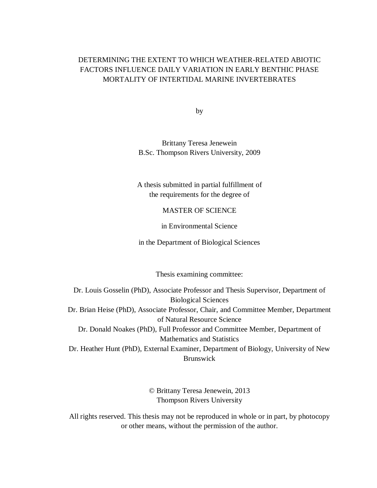## DETERMINING THE EXTENT TO WHICH WEATHER-RELATED ABIOTIC FACTORS INFLUENCE DAILY VARIATION IN EARLY BENTHIC PHASE MORTALITY OF INTERTIDAL MARINE INVERTEBRATES

by

Brittany Teresa Jenewein B.Sc. Thompson Rivers University, 2009

A thesis submitted in partial fulfillment of the requirements for the degree of

## MASTER OF SCIENCE

in Environmental Science

in the Department of Biological Sciences

Thesis examining committee:

Dr. Louis Gosselin (PhD), Associate Professor and Thesis Supervisor, Department of Biological Sciences Dr. Brian Heise (PhD), Associate Professor, Chair, and Committee Member, Department of Natural Resource Science Dr. Donald Noakes (PhD), Full Professor and Committee Member, Department of Mathematics and Statistics Dr. Heather Hunt (PhD), External Examiner, Department of Biology, University of New Brunswick

> © Brittany Teresa Jenewein, 2013 Thompson Rivers University

All rights reserved. This thesis may not be reproduced in whole or in part, by photocopy or other means, without the permission of the author.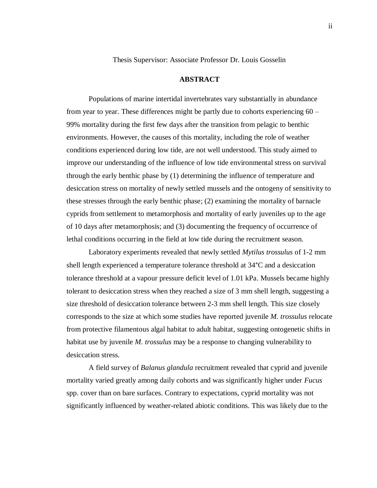Thesis Supervisor: Associate Professor Dr. Louis Gosselin

### **ABSTRACT**

Populations of marine intertidal invertebrates vary substantially in abundance from year to year. These differences might be partly due to cohorts experiencing 60 – 99% mortality during the first few days after the transition from pelagic to benthic environments. However, the causes of this mortality, including the role of weather conditions experienced during low tide, are not well understood. This study aimed to improve our understanding of the influence of low tide environmental stress on survival through the early benthic phase by (1) determining the influence of temperature and desiccation stress on mortality of newly settled mussels and the ontogeny of sensitivity to these stresses through the early benthic phase; (2) examining the mortality of barnacle cyprids from settlement to metamorphosis and mortality of early juveniles up to the age of 10 days after metamorphosis; and (3) documenting the frequency of occurrence of lethal conditions occurring in the field at low tide during the recruitment season.

Laboratory experiments revealed that newly settled *Mytilus trossulus* of 1-2 mm shell length experienced a temperature tolerance threshold at 34°C and a desiccation tolerance threshold at a vapour pressure deficit level of 1.01 kPa. Mussels became highly tolerant to desiccation stress when they reached a size of 3 mm shell length, suggesting a size threshold of desiccation tolerance between 2-3 mm shell length. This size closely corresponds to the size at which some studies have reported juvenile *M. trossulus* relocate from protective filamentous algal habitat to adult habitat, suggesting ontogenetic shifts in habitat use by juvenile *M. trossulus* may be a response to changing vulnerability to desiccation stress.

A field survey of *Balanus glandula* recruitment revealed that cyprid and juvenile mortality varied greatly among daily cohorts and was significantly higher under *Fucus*  spp. cover than on bare surfaces. Contrary to expectations, cyprid mortality was not significantly influenced by weather-related abiotic conditions. This was likely due to the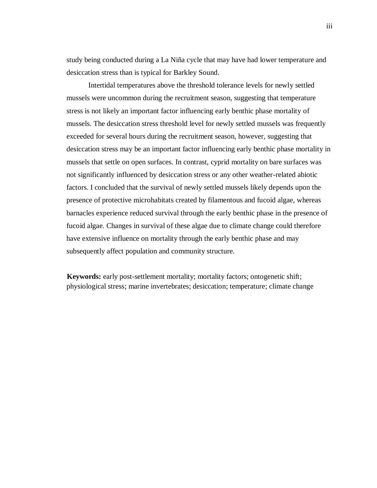study being conducted during a La Niña cycle that may have had lower temperature and desiccation stress than is typical for Barkley Sound.

Intertidal temperatures above the threshold tolerance levels for newly settled mussels were uncommon during the recruitment season, suggesting that temperature stress is not likely an important factor influencing early benthic phase mortality of mussels. The desiccation stress threshold level for newly settled mussels was frequently exceeded for several hours during the recruitment season, however, suggesting that desiccation stress may be an important factor influencing early benthic phase mortality in mussels that settle on open surfaces. In contrast, cyprid mortality on bare surfaces was not significantly influenced by desiccation stress or any other weather-related abiotic factors. I concluded that the survival of newly settled mussels likely depends upon the presence of protective microhabitats created by filamentous and fucoid algae, whereas barnacles experience reduced survival through the early benthic phase in the presence of fucoid algae. Changes in survival of these algae due to climate change could therefore have extensive influence on mortality through the early benthic phase and may subsequently affect population and community structure.

**Keywords:** early post-settlement mortality; mortality factors; ontogenetic shift; physiological stress; marine invertebrates; desiccation; temperature; climate change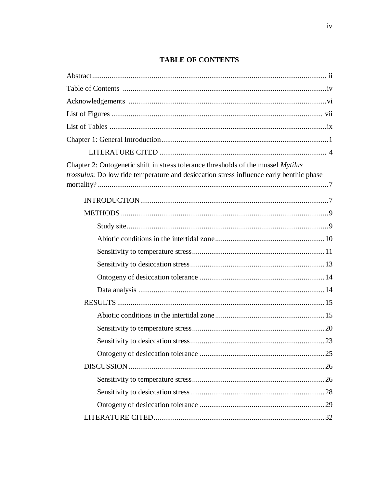# **TABLE OF CONTENTS**

| Chapter 2: Ontogenetic shift in stress tolerance thresholds of the mussel Mytilus<br>trossulus: Do low tide temperature and desiccation stress influence early benthic phase |  |
|------------------------------------------------------------------------------------------------------------------------------------------------------------------------------|--|
|                                                                                                                                                                              |  |
|                                                                                                                                                                              |  |
|                                                                                                                                                                              |  |
|                                                                                                                                                                              |  |
|                                                                                                                                                                              |  |
|                                                                                                                                                                              |  |
|                                                                                                                                                                              |  |
|                                                                                                                                                                              |  |
|                                                                                                                                                                              |  |
|                                                                                                                                                                              |  |
|                                                                                                                                                                              |  |
|                                                                                                                                                                              |  |
|                                                                                                                                                                              |  |
|                                                                                                                                                                              |  |
|                                                                                                                                                                              |  |
|                                                                                                                                                                              |  |
|                                                                                                                                                                              |  |
|                                                                                                                                                                              |  |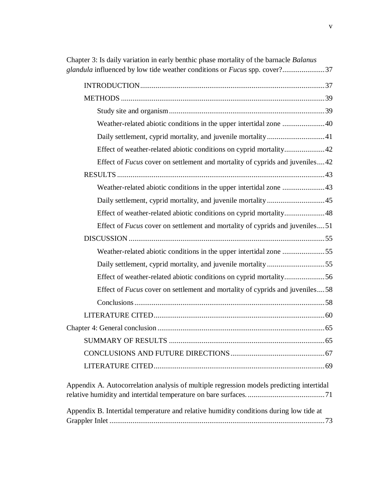| Chapter 3: Is daily variation in early benthic phase mortality of the barnacle Balanus<br>glandula influenced by low tide weather conditions or Fucus spp. cover?37 |
|---------------------------------------------------------------------------------------------------------------------------------------------------------------------|
|                                                                                                                                                                     |
|                                                                                                                                                                     |
|                                                                                                                                                                     |
| Weather-related abiotic conditions in the upper intertidal zone  40                                                                                                 |
|                                                                                                                                                                     |
| Effect of weather-related abiotic conditions on cyprid mortality42                                                                                                  |
| Effect of <i>Fucus</i> cover on settlement and mortality of cyprids and juveniles42                                                                                 |
|                                                                                                                                                                     |
| Weather-related abiotic conditions in the upper intertidal zone 43                                                                                                  |
|                                                                                                                                                                     |
| Effect of weather-related abiotic conditions on cyprid mortality 48                                                                                                 |
| Effect of <i>Fucus</i> cover on settlement and mortality of cyprids and juveniles51                                                                                 |
|                                                                                                                                                                     |
| Weather-related abiotic conditions in the upper intertidal zone 55                                                                                                  |
| Daily settlement, cyprid mortality, and juvenile mortality 55                                                                                                       |
| Effect of weather-related abiotic conditions on cyprid mortality56                                                                                                  |
| Effect of <i>Fucus</i> cover on settlement and mortality of cyprids and juveniles58                                                                                 |
|                                                                                                                                                                     |
|                                                                                                                                                                     |
|                                                                                                                                                                     |
|                                                                                                                                                                     |
|                                                                                                                                                                     |
|                                                                                                                                                                     |
| Appendix A. Autocorrelation analysis of multiple regression models predicting intertidal                                                                            |
| Appendix B. Intertidal temperature and relative humidity conditions during low tide at                                                                              |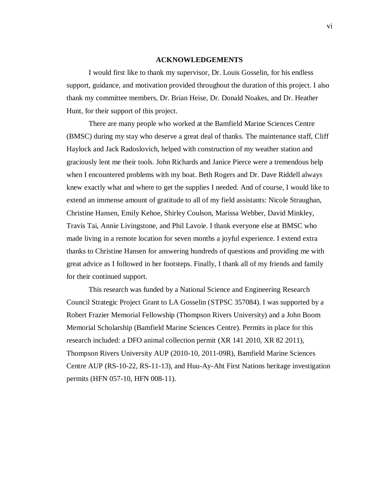#### **ACKNOWLEDGEMENTS**

I would first like to thank my supervisor, Dr. Louis Gosselin, for his endless support, guidance, and motivation provided throughout the duration of this project. I also thank my committee members, Dr. Brian Heise, Dr. Donald Noakes, and Dr. Heather Hunt, for their support of this project.

There are many people who worked at the Bamfield Marine Sciences Centre (BMSC) during my stay who deserve a great deal of thanks. The maintenance staff, Cliff Haylock and Jack Radoslovich, helped with construction of my weather station and graciously lent me their tools. John Richards and Janice Pierce were a tremendous help when I encountered problems with my boat. Beth Rogers and Dr. Dave Riddell always knew exactly what and where to get the supplies I needed. And of course, I would like to extend an immense amount of gratitude to all of my field assistants: Nicole Straughan, Christine Hansen, Emily Kehoe, Shirley Coulson, Marissa Webber, David Minkley, Travis Tai, Annie Livingstone, and Phil Lavoie. I thank everyone else at BMSC who made living in a remote location for seven months a joyful experience. I extend extra thanks to Christine Hansen for answering hundreds of questions and providing me with great advice as I followed in her footsteps. Finally, I thank all of my friends and family for their continued support.

This research was funded by a National Science and Engineering Research Council Strategic Project Grant to LA Gosselin (STPSC 357084). I was supported by a Robert Frazier Memorial Fellowship (Thompson Rivers University) and a John Boom Memorial Scholarship (Bamfield Marine Sciences Centre). Permits in place for this research included: a DFO animal collection permit (XR 141 2010, XR 82 2011), Thompson Rivers University AUP (2010-10, 2011-09R), Bamfield Marine Sciences Centre AUP (RS-10-22, RS-11-13), and Huu-Ay-Aht First Nations heritage investigation permits (HFN 057-10, HFN 008-11).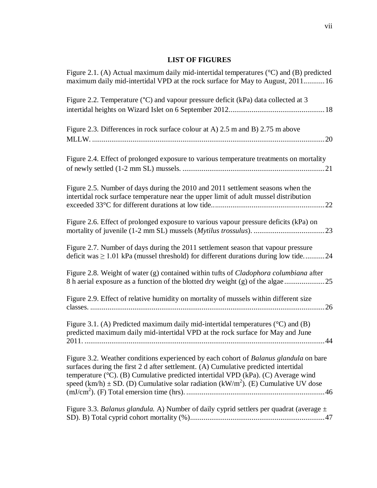## **LIST OF FIGURES**

| Figure 2.1. (A) Actual maximum daily mid-intertidal temperatures ( $\degree$ C) and (B) predicted<br>maximum daily mid-intertidal VPD at the rock surface for May to August, 201116                                                                                                                                                                                     |
|-------------------------------------------------------------------------------------------------------------------------------------------------------------------------------------------------------------------------------------------------------------------------------------------------------------------------------------------------------------------------|
| Figure 2.2. Temperature (°C) and vapour pressure deficit (kPa) data collected at 3                                                                                                                                                                                                                                                                                      |
| Figure 2.3. Differences in rock surface colour at A) 2.5 m and B) 2.75 m above                                                                                                                                                                                                                                                                                          |
| Figure 2.4. Effect of prolonged exposure to various temperature treatments on mortality                                                                                                                                                                                                                                                                                 |
| Figure 2.5. Number of days during the 2010 and 2011 settlement seasons when the<br>intertidal rock surface temperature near the upper limit of adult mussel distribution                                                                                                                                                                                                |
| Figure 2.6. Effect of prolonged exposure to various vapour pressure deficits (kPa) on                                                                                                                                                                                                                                                                                   |
| Figure 2.7. Number of days during the 2011 settlement season that vapour pressure<br>deficit was $\geq 1.01$ kPa (mussel threshold) for different durations during low tide24                                                                                                                                                                                           |
| Figure 2.8. Weight of water (g) contained within tufts of <i>Cladophora columbiana</i> after<br>8 h aerial exposure as a function of the blotted dry weight (g) of the algae                                                                                                                                                                                            |
| Figure 2.9. Effect of relative humidity on mortality of mussels within different size                                                                                                                                                                                                                                                                                   |
| Figure 3.1. (A) Predicted maximum daily mid-intertidal temperatures $({}^{\circ}C)$ and (B)<br>predicted maximum daily mid-intertidal VPD at the rock surface for May and June                                                                                                                                                                                          |
| Figure 3.2. Weather conditions experienced by each cohort of Balanus glandula on bare<br>surfaces during the first 2 d after settlement. (A) Cumulative predicted intertidal<br>temperature (°C). (B) Cumulative predicted intertidal VPD (kPa). (C) Average wind<br>speed (km/h) $\pm$ SD. (D) Cumulative solar radiation (kW/m <sup>2</sup> ). (E) Cumulative UV dose |
| Figure 3.3. Balanus glandula. A) Number of daily cyprid settlers per quadrat (average $\pm$                                                                                                                                                                                                                                                                             |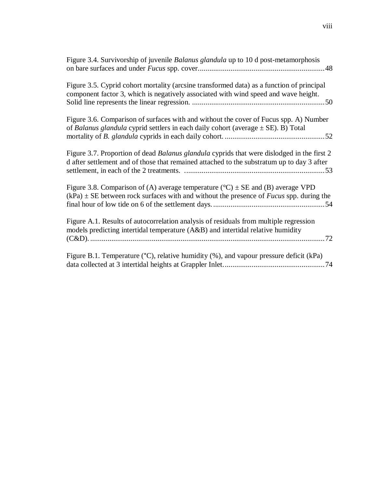| Figure 3.4. Survivorship of juvenile Balanus glandula up to 10 d post-metamorphosis                                                                                                                    |
|--------------------------------------------------------------------------------------------------------------------------------------------------------------------------------------------------------|
| Figure 3.5. Cyprid cohort mortality (arcsine transformed data) as a function of principal<br>component factor 3, which is negatively associated with wind speed and wave height.                       |
| Figure 3.6. Comparison of surfaces with and without the cover of Fucus spp. A) Number<br>of Balanus glandula cyprid settlers in each daily cohort (average $\pm$ SE). B) Total                         |
| Figure 3.7. Proportion of dead <i>Balanus glandula</i> cyprids that were dislodged in the first 2<br>d after settlement and of those that remained attached to the substratum up to day 3 after        |
| Figure 3.8. Comparison of (A) average temperature ( ${}^{\circ}$ C) $\pm$ SE and (B) average VPD<br>$(kPa) \pm SE$ between rock surfaces with and without the presence of <i>Fucus</i> spp. during the |
| Figure A.1. Results of autocorrelation analysis of residuals from multiple regression<br>models predicting intertidal temperature (A&B) and intertidal relative humidity                               |
| Figure B.1. Temperature (°C), relative humidity (%), and vapour pressure deficit (kPa)                                                                                                                 |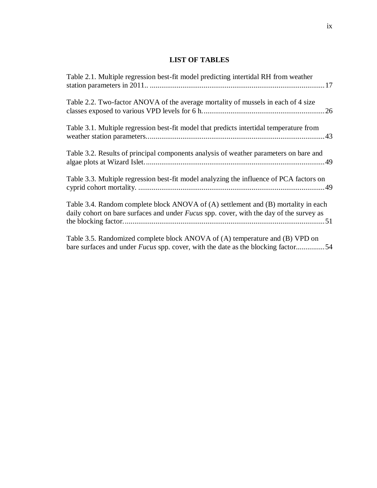## **LIST OF TABLES**

| Table 2.1. Multiple regression best-fit model predicting intertidal RH from weather                                                                                           |
|-------------------------------------------------------------------------------------------------------------------------------------------------------------------------------|
| Table 2.2. Two-factor ANOVA of the average mortality of mussels in each of 4 size                                                                                             |
| Table 3.1. Multiple regression best-fit model that predicts intertidal temperature from                                                                                       |
| Table 3.2. Results of principal components analysis of weather parameters on bare and                                                                                         |
| Table 3.3. Multiple regression best-fit model analyzing the influence of PCA factors on                                                                                       |
| Table 3.4. Random complete block ANOVA of (A) settlement and (B) mortality in each<br>daily cohort on bare surfaces and under Fucus spp. cover, with the day of the survey as |
| Table 3.5. Randomized complete block ANOVA of (A) temperature and (B) VPD on<br>bare surfaces and under <i>Fucus</i> spp. cover, with the date as the blocking factor54       |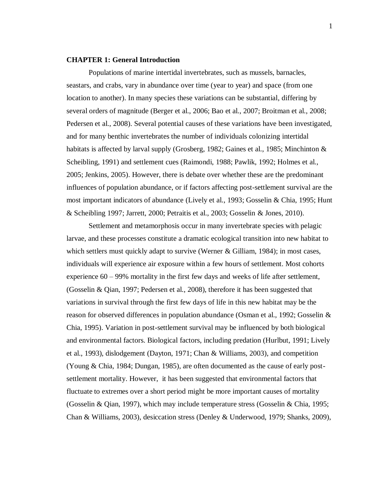### **CHAPTER 1: General Introduction**

Populations of marine intertidal invertebrates, such as mussels, barnacles, seastars, and crabs, vary in abundance over time (year to year) and space (from one location to another). In many species these variations can be substantial, differing by several orders of magnitude (Berger et al., 2006; Bao et al., 2007; Broitman et al., 2008; Pedersen et al., 2008). Several potential causes of these variations have been investigated, and for many benthic invertebrates the number of individuals colonizing intertidal habitats is affected by larval supply (Grosberg, 1982; Gaines et al., 1985; Minchinton & Scheibling, 1991) and settlement cues (Raimondi, 1988; Pawlik, 1992; Holmes et al., 2005; Jenkins, 2005). However, there is debate over whether these are the predominant influences of population abundance, or if factors affecting post-settlement survival are the most important indicators of abundance (Lively et al., 1993; Gosselin & Chia, 1995; Hunt & Scheibling 1997; Jarrett, 2000; Petraitis et al., 2003; Gosselin & Jones, 2010).

Settlement and metamorphosis occur in many invertebrate species with pelagic larvae, and these processes constitute a dramatic ecological transition into new habitat to which settlers must quickly adapt to survive (Werner & Gilliam, 1984); in most cases, individuals will experience air exposure within a few hours of settlement. Most cohorts experience 60 – 99% mortality in the first few days and weeks of life after settlement, (Gosselin & Qian, 1997; Pedersen et al., 2008), therefore it has been suggested that variations in survival through the first few days of life in this new habitat may be the reason for observed differences in population abundance (Osman et al., 1992; Gosselin & Chia, 1995). Variation in post-settlement survival may be influenced by both biological and environmental factors. Biological factors, including predation (Hurlbut, 1991; Lively et al., 1993), dislodgement (Dayton, 1971; Chan & Williams, 2003), and competition (Young & Chia, 1984; Dungan, 1985), are often documented as the cause of early postsettlement mortality. However, it has been suggested that environmental factors that fluctuate to extremes over a short period might be more important causes of mortality (Gosselin & Qian, 1997), which may include temperature stress (Gosselin & Chia, 1995; Chan & Williams, 2003), desiccation stress (Denley & Underwood, 1979; Shanks, 2009),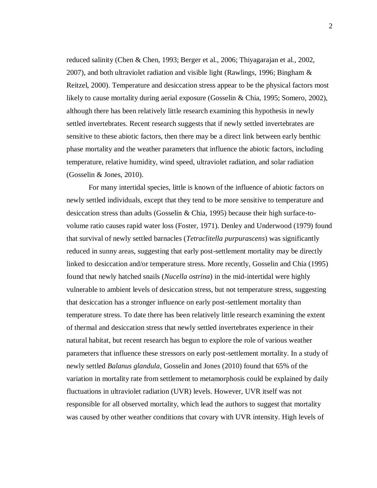reduced salinity (Chen & Chen, 1993; Berger et al., 2006; Thiyagarajan et al., 2002, 2007), and both ultraviolet radiation and visible light (Rawlings, 1996; Bingham  $\&$ Reitzel, 2000). Temperature and desiccation stress appear to be the physical factors most likely to cause mortality during aerial exposure (Gosselin & Chia, 1995; Somero, 2002), although there has been relatively little research examining this hypothesis in newly settled invertebrates. Recent research suggests that if newly settled invertebrates are sensitive to these abiotic factors, then there may be a direct link between early benthic phase mortality and the weather parameters that influence the abiotic factors, including temperature, relative humidity, wind speed, ultraviolet radiation, and solar radiation (Gosselin & Jones, 2010).

For many intertidal species, little is known of the influence of abiotic factors on newly settled individuals, except that they tend to be more sensitive to temperature and desiccation stress than adults (Gosselin & Chia, 1995) because their high surface-tovolume ratio causes rapid water loss (Foster, 1971). Denley and Underwood (1979) found that survival of newly settled barnacles (*Tetraclitella purpurascens*) was significantly reduced in sunny areas, suggesting that early post-settlement mortality may be directly linked to desiccation and/or temperature stress. More recently, Gosselin and Chia (1995) found that newly hatched snails (*Nucella ostrina*) in the mid-intertidal were highly vulnerable to ambient levels of desiccation stress, but not temperature stress, suggesting that desiccation has a stronger influence on early post-settlement mortality than temperature stress. To date there has been relatively little research examining the extent of thermal and desiccation stress that newly settled invertebrates experience in their natural habitat, but recent research has begun to explore the role of various weather parameters that influence these stressors on early post-settlement mortality. In a study of newly settled *Balanus glandula*, Gosselin and Jones (2010) found that 65% of the variation in mortality rate from settlement to metamorphosis could be explained by daily fluctuations in ultraviolet radiation (UVR) levels. However, UVR itself was not responsible for all observed mortality, which lead the authors to suggest that mortality was caused by other weather conditions that covary with UVR intensity. High levels of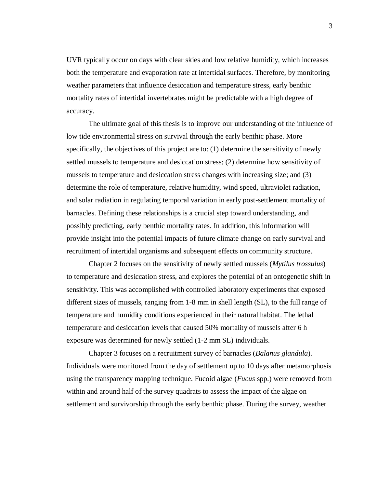UVR typically occur on days with clear skies and low relative humidity, which increases both the temperature and evaporation rate at intertidal surfaces. Therefore, by monitoring weather parameters that influence desiccation and temperature stress, early benthic mortality rates of intertidal invertebrates might be predictable with a high degree of accuracy.

The ultimate goal of this thesis is to improve our understanding of the influence of low tide environmental stress on survival through the early benthic phase. More specifically, the objectives of this project are to: (1) determine the sensitivity of newly settled mussels to temperature and desiccation stress; (2) determine how sensitivity of mussels to temperature and desiccation stress changes with increasing size; and (3) determine the role of temperature, relative humidity, wind speed, ultraviolet radiation, and solar radiation in regulating temporal variation in early post-settlement mortality of barnacles. Defining these relationships is a crucial step toward understanding, and possibly predicting, early benthic mortality rates. In addition, this information will provide insight into the potential impacts of future climate change on early survival and recruitment of intertidal organisms and subsequent effects on community structure.

Chapter 2 focuses on the sensitivity of newly settled mussels (*Mytilus trossulus*) to temperature and desiccation stress, and explores the potential of an ontogenetic shift in sensitivity. This was accomplished with controlled laboratory experiments that exposed different sizes of mussels, ranging from 1-8 mm in shell length (SL), to the full range of temperature and humidity conditions experienced in their natural habitat. The lethal temperature and desiccation levels that caused 50% mortality of mussels after 6 h exposure was determined for newly settled (1-2 mm SL) individuals.

Chapter 3 focuses on a recruitment survey of barnacles (*Balanus glandula*). Individuals were monitored from the day of settlement up to 10 days after metamorphosis using the transparency mapping technique. Fucoid algae (*Fucus* spp.) were removed from within and around half of the survey quadrats to assess the impact of the algae on settlement and survivorship through the early benthic phase. During the survey, weather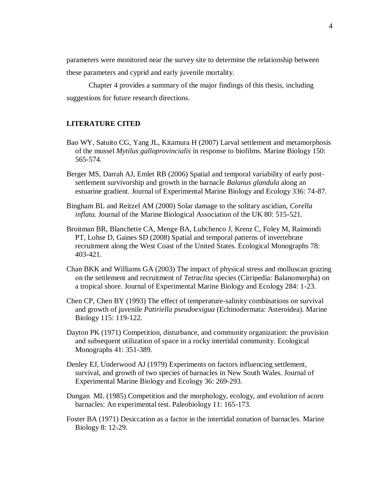parameters were monitored near the survey site to determine the relationship between these parameters and cyprid and early juvenile mortality.

Chapter 4 provides a summary of the major findings of this thesis, including suggestions for future research directions.

## **LITERATURE CITED**

- Bao WY, Satuito CG, Yang JL, Kitamura H (2007) Larval settlement and metamorphosis of the mussel *Mytilus galloprovincialis* in response to biofilms. Marine Biology 150: 565-574.
- Berger MS, Darrah AJ, Emlet RB (2006) Spatial and temporal variability of early postsettlement survivorship and growth in the barnacle *Balanus glandula* along an estuarine gradient. Journal of Experimental Marine Biology and Ecology 336: 74-87.
- Bingham BL and Reitzel AM (2000) Solar damage to the solitary ascidian, *Corella inflata*. Journal of the Marine Biological Association of the UK 80: 515-521.
- Broitman BR, Blanchette CA, Menge BA, Lubchenco J, Krenz C, Foley M, Raimondi PT, Lohse D, Gaines SD (2008) Spatial and temporal patterns of invertebrate recruitment along the West Coast of the United States. Ecological Monographs 78: 403-421.
- Chan BKK and Williams GA (2003) The impact of physical stress and molluscan grazing on the settlement and recruitment of *Tetraclita* species (Cirripedia: Balanomorpha) on a tropical shore. Journal of Experimental Marine Biology and Ecology 284: 1-23.
- Chen CP, Chen BY (1993) The effect of temperature-salinity combinations on survival and growth of juvenile *Patiriella pseudoexigua* (Echinodermata: Asteroidea). Marine Biology 115: 119-122.
- Dayton PK (1971) Competition, disturbance, and community organization: the provision and subsequent utilization of space in a rocky intertidal community. Ecological Monographs 41: 351-389.
- Denley EJ, Underwood AJ (1979) Experiments on factors influencing settlement, survival, and growth of two species of barnacles in New South Wales. Journal of Experimental Marine Biology and Ecology 36: 269-293.
- Dungan ML (1985) Competition and the morphology, ecology, and evolution of acorn barnacles: An experimental test. Paleobiology 11: 165-173.
- Foster BA (1971) Desiccation as a factor in the intertidal zonation of barnacles. Marine Biology 8: 12-29.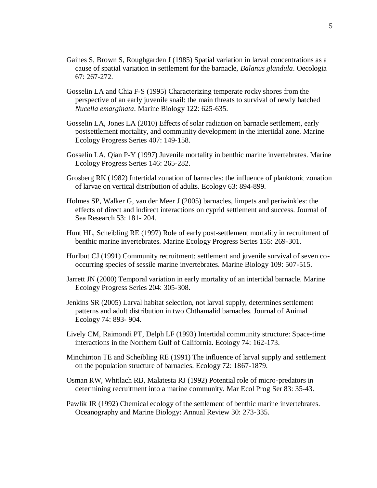- Gaines S, Brown S, Roughgarden J (1985) Spatial variation in larval concentrations as a cause of spatial variation in settlement for the barnacle, *Balanus glandula*. Oecologia 67: 267-272.
- Gosselin LA and Chia F-S (1995) Characterizing temperate rocky shores from the perspective of an early juvenile snail: the main threats to survival of newly hatched *Nucella emarginata*. Marine Biology 122: 625-635.
- Gosselin LA, Jones LA (2010) Effects of solar radiation on barnacle settlement, early postsettlement mortality, and community development in the intertidal zone. Marine Ecology Progress Series 407: 149-158.
- Gosselin LA, Qian P-Y (1997) Juvenile mortality in benthic marine invertebrates. Marine Ecology Progress Series 146: 265-282.
- Grosberg RK (1982) Intertidal zonation of barnacles: the influence of planktonic zonation of larvae on vertical distribution of adults. Ecology 63: 894-899.
- Holmes SP, Walker G, van der Meer J (2005) barnacles, limpets and periwinkles: the effects of direct and indirect interactions on cyprid settlement and success. Journal of Sea Research 53: 181- 204.
- Hunt HL, Scheibling RE (1997) Role of early post-settlement mortality in recruitment of benthic marine invertebrates. Marine Ecology Progress Series 155: 269-301.
- Hurlbut CJ (1991) Community recruitment: settlement and juvenile survival of seven cooccurring species of sessile marine invertebrates. Marine Biology 109: 507-515.
- Jarrett JN (2000) Temporal variation in early mortality of an intertidal barnacle. Marine Ecology Progress Series 204: 305-308.
- Jenkins SR (2005) Larval habitat selection, not larval supply, determines settlement patterns and adult distribution in two Chthamalid barnacles. Journal of Animal Ecology 74: 893- 904.
- Lively CM, Raimondi PT, Delph LF (1993) Intertidal community structure: Space-time interactions in the Northern Gulf of California. Ecology 74: 162-173.
- Minchinton TE and Scheibling RE (1991) The influence of larval supply and settlement on the population structure of barnacles. Ecology 72: 1867-1879.
- Osman RW, Whitlach RB, Malatesta RJ (1992) Potential role of micro-predators in determining recruitment into a marine community. Mar Ecol Prog Ser 83: 35-43.
- Pawlik JR (1992) Chemical ecology of the settlement of benthic marine invertebrates. Oceanography and Marine Biology: Annual Review 30: 273-335.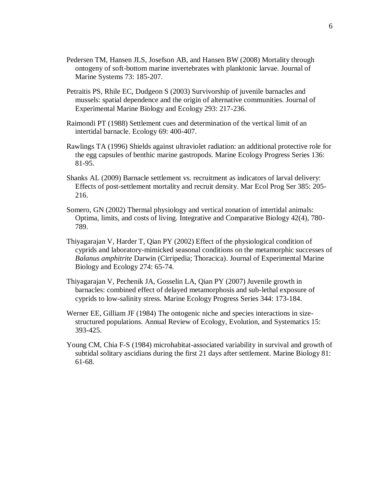- Pedersen TM, Hansen JLS, Josefson AB, and Hansen BW (2008) Mortality through ontogeny of soft-bottom marine invertebrates with planktonic larvae. Journal of Marine Systems 73: 185-207.
- Petraitis PS, Rhile EC, Dudgeon S (2003) Survivorship of juvenile barnacles and mussels: spatial dependence and the origin of alternative communities. Journal of Experimental Marine Biology and Ecology 293: 217-236.
- Raimondi PT (1988) Settlement cues and determination of the vertical limit of an intertidal barnacle. Ecology 69: 400-407.
- Rawlings TA (1996) Shields against ultraviolet radiation: an additional protective role for the egg capsules of benthic marine gastropods. Marine Ecology Progress Series 136: 81-95.
- Shanks AL (2009) Barnacle settlement vs. recruitment as indicators of larval delivery: Effects of post-settlement mortality and recruit density. Mar Ecol Prog Ser 385: 205- 216.
- Somero, GN (2002) Thermal physiology and vertical zonation of intertidal animals: Optima, limits, and costs of living. Integrative and Comparative Biology 42(4), 780- 789.
- Thiyagarajan V, Harder T, Qian PY (2002) Effect of the physiological condition of cyprids and laboratory-mimicked seasonal conditions on the metamorphic successes of *Balanus amphitrite* Darwin (Cirripedia; Thoracica). Journal of Experimental Marine Biology and Ecology 274: 65-74.
- Thiyagarajan V, Pechenik JA, Gosselin LA, Qian PY (2007) Juvenile growth in barnacles: combined effect of delayed metamorphosis and sub-lethal exposure of cyprids to low-salinity stress. Marine Ecology Progress Series 344: 173-184.
- Werner EE, Gilliam JF (1984) The ontogenic niche and species interactions in sizestructured populations. Annual Review of Ecology, Evolution, and Systematics 15: 393-425.
- Young CM, Chia F-S (1984) microhabitat-associated variability in survival and growth of subtidal solitary ascidians during the first 21 days after settlement. Marine Biology 81: 61-68.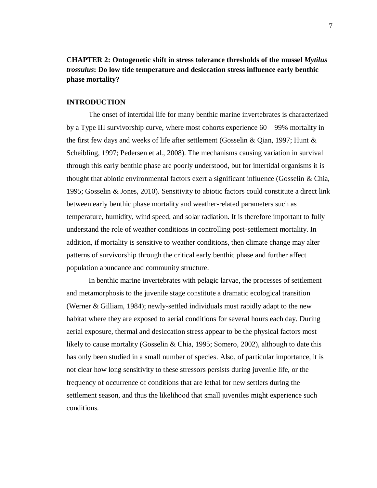**CHAPTER 2: Ontogenetic shift in stress tolerance thresholds of the mussel** *Mytilus trossulus***: Do low tide temperature and desiccation stress influence early benthic phase mortality?**

## **INTRODUCTION**

The onset of intertidal life for many benthic marine invertebrates is characterized by a Type III survivorship curve, where most cohorts experience 60 – 99% mortality in the first few days and weeks of life after settlement (Gosselin & Qian, 1997; Hunt & Scheibling, 1997; Pedersen et al., 2008). The mechanisms causing variation in survival through this early benthic phase are poorly understood, but for intertidal organisms it is thought that abiotic environmental factors exert a significant influence (Gosselin  $\&$  Chia, 1995; Gosselin & Jones, 2010). Sensitivity to abiotic factors could constitute a direct link between early benthic phase mortality and weather-related parameters such as temperature, humidity, wind speed, and solar radiation. It is therefore important to fully understand the role of weather conditions in controlling post-settlement mortality. In addition, if mortality is sensitive to weather conditions, then climate change may alter patterns of survivorship through the critical early benthic phase and further affect population abundance and community structure.

In benthic marine invertebrates with pelagic larvae, the processes of settlement and metamorphosis to the juvenile stage constitute a dramatic ecological transition (Werner & Gilliam, 1984); newly-settled individuals must rapidly adapt to the new habitat where they are exposed to aerial conditions for several hours each day. During aerial exposure, thermal and desiccation stress appear to be the physical factors most likely to cause mortality (Gosselin & Chia, 1995; Somero, 2002), although to date this has only been studied in a small number of species. Also, of particular importance, it is not clear how long sensitivity to these stressors persists during juvenile life, or the frequency of occurrence of conditions that are lethal for new settlers during the settlement season, and thus the likelihood that small juveniles might experience such conditions.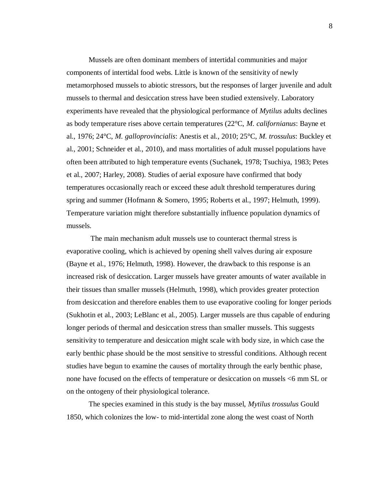Mussels are often dominant members of intertidal communities and major components of intertidal food webs. Little is known of the sensitivity of newly metamorphosed mussels to abiotic stressors, but the responses of larger juvenile and adult mussels to thermal and desiccation stress have been studied extensively. Laboratory experiments have revealed that the physiological performance of *Mytilus* adults declines as body temperature rises above certain temperatures (22°C, *M. californianus*: Bayne et al., 1976; 24°C, *M. galloprovincialis*: Anestis et al., 2010; 25°C, *M. trossulus*: Buckley et al., 2001; Schneider et al., 2010), and mass mortalities of adult mussel populations have often been attributed to high temperature events (Suchanek, 1978; Tsuchiya, 1983; Petes et al., 2007; Harley, 2008). Studies of aerial exposure have confirmed that body temperatures occasionally reach or exceed these adult threshold temperatures during spring and summer (Hofmann & Somero, 1995; Roberts et al., 1997; Helmuth, 1999). Temperature variation might therefore substantially influence population dynamics of mussels.

The main mechanism adult mussels use to counteract thermal stress is evaporative cooling, which is achieved by opening shell valves during air exposure (Bayne et al., 1976; Helmuth, 1998). However, the drawback to this response is an increased risk of desiccation. Larger mussels have greater amounts of water available in their tissues than smaller mussels (Helmuth, 1998), which provides greater protection from desiccation and therefore enables them to use evaporative cooling for longer periods (Sukhotin et al., 2003; LeBlanc et al., 2005). Larger mussels are thus capable of enduring longer periods of thermal and desiccation stress than smaller mussels. This suggests sensitivity to temperature and desiccation might scale with body size, in which case the early benthic phase should be the most sensitive to stressful conditions. Although recent studies have begun to examine the causes of mortality through the early benthic phase, none have focused on the effects of temperature or desiccation on mussels <6 mm SL or on the ontogeny of their physiological tolerance.

The species examined in this study is the bay mussel, *Mytilus trossulus* Gould 1850, which colonizes the low- to mid-intertidal zone along the west coast of North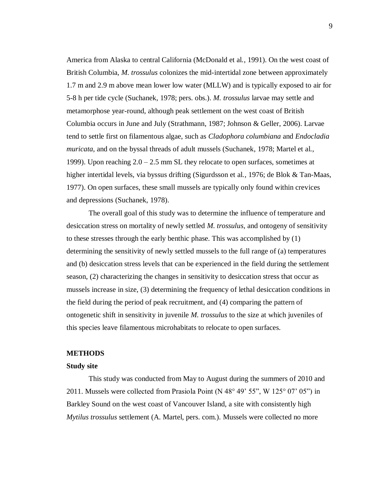America from Alaska to central California (McDonald et al., 1991). On the west coast of British Columbia, *M. trossulus* colonizes the mid-intertidal zone between approximately 1.7 m and 2.9 m above mean lower low water (MLLW) and is typically exposed to air for 5-8 h per tide cycle (Suchanek, 1978; pers. obs.). *M. trossulus* larvae may settle and metamorphose year-round, although peak settlement on the west coast of British Columbia occurs in June and July (Strathmann, 1987; Johnson & Geller, 2006). Larvae tend to settle first on filamentous algae, such as *Cladophora columbiana* and *Endocladia muricata*, and on the byssal threads of adult mussels (Suchanek, 1978; Martel et al., 1999). Upon reaching 2.0 – 2.5 mm SL they relocate to open surfaces, sometimes at higher intertidal levels, via byssus drifting (Sigurdsson et al., 1976; de Blok & Tan-Maas, 1977). On open surfaces, these small mussels are typically only found within crevices and depressions (Suchanek, 1978).

The overall goal of this study was to determine the influence of temperature and desiccation stress on mortality of newly settled *M. trossulus*, and ontogeny of sensitivity to these stresses through the early benthic phase. This was accomplished by (1) determining the sensitivity of newly settled mussels to the full range of (a) temperatures and (b) desiccation stress levels that can be experienced in the field during the settlement season, (2) characterizing the changes in sensitivity to desiccation stress that occur as mussels increase in size, (3) determining the frequency of lethal desiccation conditions in the field during the period of peak recruitment, and (4) comparing the pattern of ontogenetic shift in sensitivity in juvenile *M. trossulus* to the size at which juveniles of this species leave filamentous microhabitats to relocate to open surfaces.

### **METHODS**

#### **Study site**

This study was conducted from May to August during the summers of 2010 and 2011. Mussels were collected from Prasiola Point (N 48° 49' 55", W 125° 07' 05") in Barkley Sound on the west coast of Vancouver Island, a site with consistently high *Mytilus trossulus* settlement (A. Martel, pers. com.). Mussels were collected no more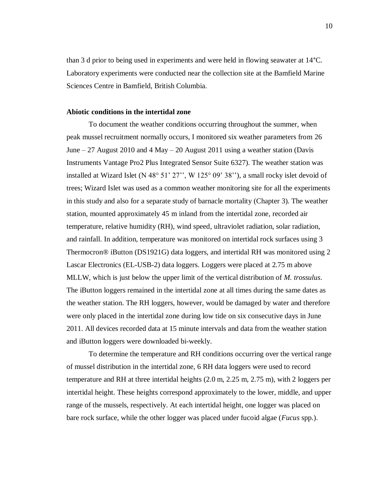than 3 d prior to being used in experiments and were held in flowing seawater at 14°C. Laboratory experiments were conducted near the collection site at the Bamfield Marine Sciences Centre in Bamfield, British Columbia.

### **Abiotic conditions in the intertidal zone**

To document the weather conditions occurring throughout the summer, when peak mussel recruitment normally occurs, I monitored six weather parameters from 26 June  $-27$  August 2010 and  $4$  May  $-20$  August 2011 using a weather station (Davis Instruments Vantage Pro2 Plus Integrated Sensor Suite 6327). The weather station was installed at Wizard Islet (N 48° 51' 27'', W 125° 09' 38''), a small rocky islet devoid of trees; Wizard Islet was used as a common weather monitoring site for all the experiments in this study and also for a separate study of barnacle mortality (Chapter 3). The weather station, mounted approximately 45 m inland from the intertidal zone, recorded air temperature, relative humidity (RH), wind speed, ultraviolet radiation, solar radiation, and rainfall. In addition, temperature was monitored on intertidal rock surfaces using 3 Thermocron® iButton (DS1921G) data loggers, and intertidal RH was monitored using 2 Lascar Electronics (EL-USB-2) data loggers. Loggers were placed at 2.75 m above MLLW, which is just below the upper limit of the vertical distribution of *M. trossulus*. The iButton loggers remained in the intertidal zone at all times during the same dates as the weather station. The RH loggers, however, would be damaged by water and therefore were only placed in the intertidal zone during low tide on six consecutive days in June 2011. All devices recorded data at 15 minute intervals and data from the weather station and iButton loggers were downloaded bi-weekly.

To determine the temperature and RH conditions occurring over the vertical range of mussel distribution in the intertidal zone, 6 RH data loggers were used to record temperature and RH at three intertidal heights (2.0 m, 2.25 m, 2.75 m), with 2 loggers per intertidal height. These heights correspond approximately to the lower, middle, and upper range of the mussels, respectively. At each intertidal height, one logger was placed on bare rock surface, while the other logger was placed under fucoid algae (*Fucus* spp.).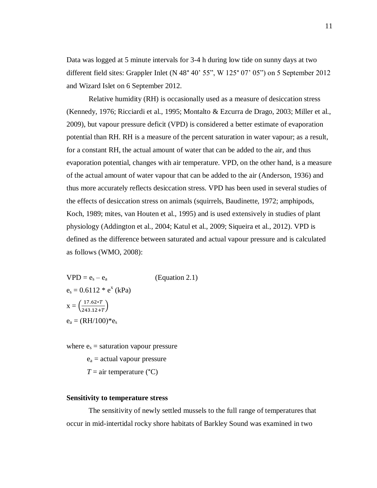Data was logged at 5 minute intervals for 3-4 h during low tide on sunny days at two different field sites: Grappler Inlet (N 48° 40' 55", W 125° 07' 05") on 5 September 2012 and Wizard Islet on 6 September 2012.

Relative humidity (RH) is occasionally used as a measure of desiccation stress (Kennedy, 1976; Ricciardi et al., 1995; Montalto & Ezcurra de Drago, 2003; Miller et al., 2009), but vapour pressure deficit (VPD) is considered a better estimate of evaporation potential than RH. RH is a measure of the percent saturation in water vapour; as a result, for a constant RH, the actual amount of water that can be added to the air, and thus evaporation potential, changes with air temperature. VPD, on the other hand, is a measure of the actual amount of water vapour that can be added to the air (Anderson, 1936) and thus more accurately reflects desiccation stress. VPD has been used in several studies of the effects of desiccation stress on animals (squirrels, Baudinette, 1972; amphipods, Koch, 1989; mites, van Houten et al., 1995) and is used extensively in studies of plant physiology (Addington et al., 2004; Katul et al., 2009; Siqueira et al., 2012). VPD is defined as the difference between saturated and actual vapour pressure and is calculated as follows (WMO, 2008):

 $VPD = e_s - e_a$  (Equation 2.1)  $e_s = 0.6112 * e^x (kPa)$  $x = \left(\frac{1}{2}\right)$  $\frac{17.62*1}{243.12+T}$  $e_a = (RH/100)^*e_s$ 

where  $e_s$  = saturation vapour pressure

 $e_a$  = actual vapour pressure

 $T = \text{air temperature } (°C)$ 

## **Sensitivity to temperature stress**

The sensitivity of newly settled mussels to the full range of temperatures that occur in mid-intertidal rocky shore habitats of Barkley Sound was examined in two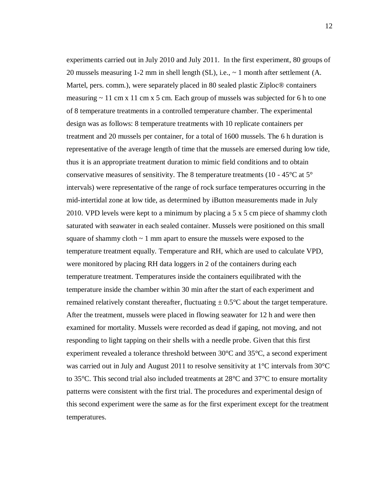experiments carried out in July 2010 and July 2011. In the first experiment, 80 groups of 20 mussels measuring 1-2 mm in shell length (SL), i.e., ~ 1 month after settlement (A. Martel, pers. comm.), were separately placed in 80 sealed plastic Ziploc® containers measuring  $\sim$  11 cm x 11 cm x 5 cm. Each group of mussels was subjected for 6 h to one of 8 temperature treatments in a controlled temperature chamber. The experimental design was as follows: 8 temperature treatments with 10 replicate containers per treatment and 20 mussels per container, for a total of 1600 mussels. The 6 h duration is representative of the average length of time that the mussels are emersed during low tide, thus it is an appropriate treatment duration to mimic field conditions and to obtain conservative measures of sensitivity. The 8 temperature treatments (10 -  $45^{\circ}$ C at  $5^{\circ}$ ) intervals) were representative of the range of rock surface temperatures occurring in the mid-intertidal zone at low tide, as determined by iButton measurements made in July 2010. VPD levels were kept to a minimum by placing a 5 x 5 cm piece of shammy cloth saturated with seawater in each sealed container. Mussels were positioned on this small square of shammy cloth  $\sim$  1 mm apart to ensure the mussels were exposed to the temperature treatment equally. Temperature and RH, which are used to calculate VPD, were monitored by placing RH data loggers in 2 of the containers during each temperature treatment. Temperatures inside the containers equilibrated with the temperature inside the chamber within 30 min after the start of each experiment and remained relatively constant thereafter, fluctuating  $\pm 0.5^{\circ}$ C about the target temperature. After the treatment, mussels were placed in flowing seawater for 12 h and were then examined for mortality. Mussels were recorded as dead if gaping, not moving, and not responding to light tapping on their shells with a needle probe. Given that this first experiment revealed a tolerance threshold between 30°C and 35°C, a second experiment was carried out in July and August 2011 to resolve sensitivity at 1°C intervals from 30°C to 35°C. This second trial also included treatments at 28°C and 37°C to ensure mortality patterns were consistent with the first trial. The procedures and experimental design of this second experiment were the same as for the first experiment except for the treatment temperatures.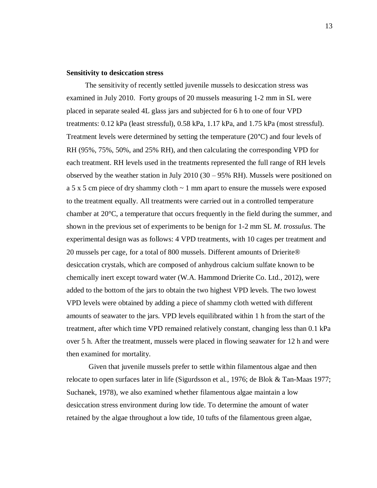### **Sensitivity to desiccation stress**

 The sensitivity of recently settled juvenile mussels to desiccation stress was examined in July 2010. Forty groups of 20 mussels measuring 1-2 mm in SL were placed in separate sealed 4L glass jars and subjected for 6 h to one of four VPD treatments: 0.12 kPa (least stressful), 0.58 kPa, 1.17 kPa, and 1.75 kPa (most stressful). Treatment levels were determined by setting the temperature (20°C) and four levels of RH (95%, 75%, 50%, and 25% RH), and then calculating the corresponding VPD for each treatment. RH levels used in the treatments represented the full range of RH levels observed by the weather station in July 2010 (30 – 95% RH). Mussels were positioned on a 5 x 5 cm piece of dry shammy cloth  $\sim$  1 mm apart to ensure the mussels were exposed to the treatment equally. All treatments were carried out in a controlled temperature chamber at  $20^{\circ}$ C, a temperature that occurs frequently in the field during the summer, and shown in the previous set of experiments to be benign for 1-2 mm SL *M. trossulus*. The experimental design was as follows: 4 VPD treatments, with 10 cages per treatment and 20 mussels per cage, for a total of 800 mussels. Different amounts of Drierite® desiccation crystals, which are composed of anhydrous calcium sulfate known to be chemically inert except toward water (W.A. Hammond Drierite Co. Ltd., 2012), were added to the bottom of the jars to obtain the two highest VPD levels. The two lowest VPD levels were obtained by adding a piece of shammy cloth wetted with different amounts of seawater to the jars. VPD levels equilibrated within 1 h from the start of the treatment, after which time VPD remained relatively constant, changing less than 0.1 kPa over 5 h. After the treatment, mussels were placed in flowing seawater for 12 h and were then examined for mortality.

Given that juvenile mussels prefer to settle within filamentous algae and then relocate to open surfaces later in life (Sigurdsson et al., 1976; de Blok & Tan-Maas 1977; Suchanek, 1978), we also examined whether filamentous algae maintain a low desiccation stress environment during low tide. To determine the amount of water retained by the algae throughout a low tide, 10 tufts of the filamentous green algae,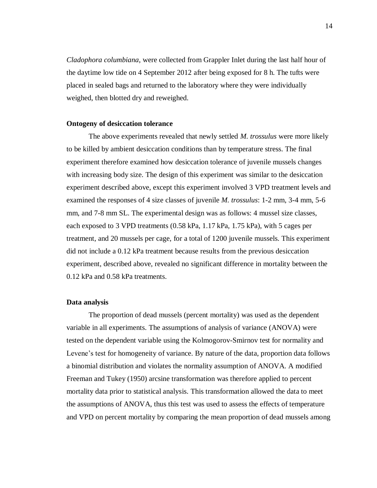*Cladophora columbiana*, were collected from Grappler Inlet during the last half hour of the daytime low tide on 4 September 2012 after being exposed for 8 h. The tufts were placed in sealed bags and returned to the laboratory where they were individually weighed, then blotted dry and reweighed.

#### **Ontogeny of desiccation tolerance**

The above experiments revealed that newly settled *M. trossulus* were more likely to be killed by ambient desiccation conditions than by temperature stress. The final experiment therefore examined how desiccation tolerance of juvenile mussels changes with increasing body size. The design of this experiment was similar to the desiccation experiment described above, except this experiment involved 3 VPD treatment levels and examined the responses of 4 size classes of juvenile *M. trossulus*: 1-2 mm, 3-4 mm, 5-6 mm, and 7-8 mm SL. The experimental design was as follows: 4 mussel size classes, each exposed to 3 VPD treatments (0.58 kPa, 1.17 kPa, 1.75 kPa), with 5 cages per treatment, and 20 mussels per cage, for a total of 1200 juvenile mussels. This experiment did not include a 0.12 kPa treatment because results from the previous desiccation experiment, described above, revealed no significant difference in mortality between the 0.12 kPa and 0.58 kPa treatments.

### **Data analysis**

The proportion of dead mussels (percent mortality) was used as the dependent variable in all experiments. The assumptions of analysis of variance (ANOVA) were tested on the dependent variable using the Kolmogorov-Smirnov test for normality and Levene's test for homogeneity of variance. By nature of the data, proportion data follows a binomial distribution and violates the normality assumption of ANOVA. A modified Freeman and Tukey (1950) arcsine transformation was therefore applied to percent mortality data prior to statistical analysis. This transformation allowed the data to meet the assumptions of ANOVA, thus this test was used to assess the effects of temperature and VPD on percent mortality by comparing the mean proportion of dead mussels among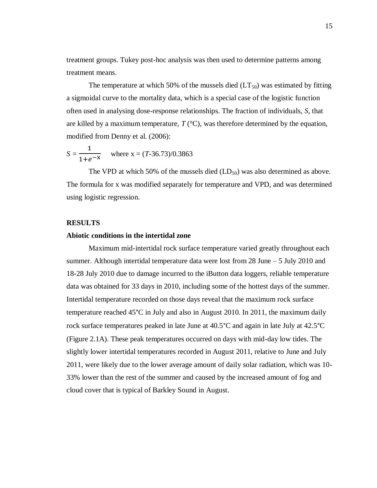treatment groups. Tukey post-hoc analysis was then used to determine patterns among treatment means.

The temperature at which 50% of the mussels died  $(LT_{50})$  was estimated by fitting a sigmoidal curve to the mortality data, which is a special case of the logistic function often used in analysing dose-response relationships. The fraction of individuals, *S*, that are killed by a maximum temperature,  $T$  ( $\rm{°C}$ ), was therefore determined by the equation, modified from Denny et al. (2006):

$$
S = \frac{1}{1 + e^{-x}}
$$
 where x = (T-36.73)/0.3863

The VPD at which 50% of the mussels died  $(LD_{50})$  was also determined as above. The formula for x was modified separately for temperature and VPD, and was determined using logistic regression.

#### **RESULTS**

### **Abiotic conditions in the intertidal zone**

Maximum mid-intertidal rock surface temperature varied greatly throughout each summer. Although intertidal temperature data were lost from 28 June – 5 July 2010 and 18-28 July 2010 due to damage incurred to the iButton data loggers, reliable temperature data was obtained for 33 days in 2010, including some of the hottest days of the summer. Intertidal temperature recorded on those days reveal that the maximum rock surface temperature reached 45°C in July and also in August 2010. In 2011, the maximum daily rock surface temperatures peaked in late June at 40.5°C and again in late July at 42.5°C (Figure 2.1A). These peak temperatures occurred on days with mid-day low tides. The slightly lower intertidal temperatures recorded in August 2011, relative to June and July 2011, were likely due to the lower average amount of daily solar radiation, which was 10- 33% lower than the rest of the summer and caused by the increased amount of fog and cloud cover that is typical of Barkley Sound in August.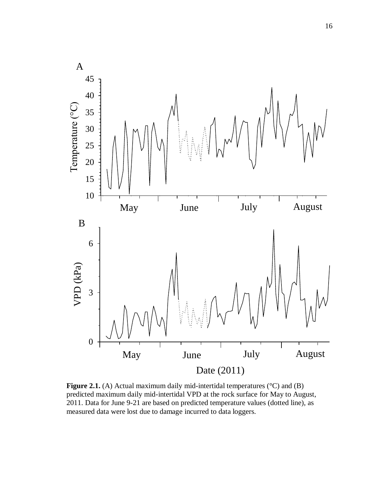

**Figure 2.1.** (A) Actual maximum daily mid-intertidal temperatures (°C) and (B) predicted maximum daily mid-intertidal VPD at the rock surface for May to August, 2011. Data for June 9-21 are based on predicted temperature values (dotted line), as measured data were lost due to damage incurred to data loggers.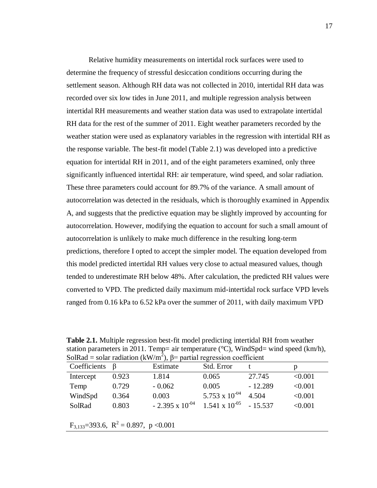Relative humidity measurements on intertidal rock surfaces were used to determine the frequency of stressful desiccation conditions occurring during the settlement season. Although RH data was not collected in 2010, intertidal RH data was recorded over six low tides in June 2011, and multiple regression analysis between intertidal RH measurements and weather station data was used to extrapolate intertidal RH data for the rest of the summer of 2011. Eight weather parameters recorded by the weather station were used as explanatory variables in the regression with intertidal RH as the response variable. The best-fit model (Table 2.1) was developed into a predictive equation for intertidal RH in 2011, and of the eight parameters examined, only three significantly influenced intertidal RH: air temperature, wind speed, and solar radiation. These three parameters could account for 89.7% of the variance. A small amount of autocorrelation was detected in the residuals, which is thoroughly examined in Appendix A, and suggests that the predictive equation may be slightly improved by accounting for autocorrelation. However, modifying the equation to account for such a small amount of autocorrelation is unlikely to make much difference in the resulting long-term predictions, therefore I opted to accept the simpler model. The equation developed from this model predicted intertidal RH values very close to actual measured values, though tended to underestimate RH below 48%. After calculation, the predicted RH values were converted to VPD. The predicted daily maximum mid-intertidal rock surface VPD levels ranged from 0.16 kPa to 6.52 kPa over the summer of 2011, with daily maximum VPD

**Table 2.1.** Multiple regression best-fit model predicting intertidal RH from weather station parameters in 2011. Temp= air temperature (°C), WindSpd= wind speed (km/h), SolRad = solar radiation (kW/m<sup>2</sup>),  $\beta$ = partial regression coefficient

| Coefficients | $\mathbf{B}$ | Estimate                 | Std. Error              |           | p       |
|--------------|--------------|--------------------------|-------------------------|-----------|---------|
| Intercept    | 0.923        | 1.814                    | 0.065                   | 27.745    | < 0.001 |
| Temp         | 0.729        | $-0.062$                 | 0.005                   | $-12.289$ | < 0.001 |
| WindSpd      | 0.364        | 0.003                    | 5.753 x $10^{-04}$      | 4.504     | < 0.001 |
| SolRad       | 0.803        | $-2.395 \times 10^{-04}$ | $1.541 \times 10^{-05}$ | $-15.537$ | < 0.001 |
|              |              |                          |                         |           |         |

 $F_{3,133}=393.6$ ,  $R^2=0.897$ ,  $p < 0.001$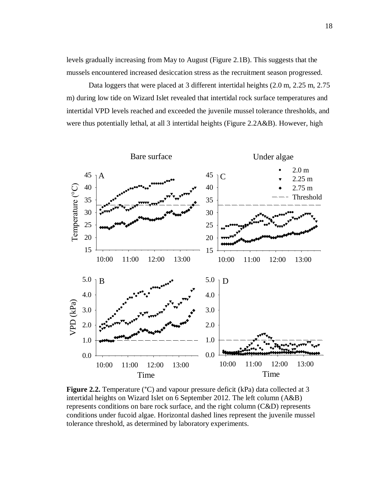levels gradually increasing from May to August (Figure 2.1B). This suggests that the mussels encountered increased desiccation stress as the recruitment season progressed.

Data loggers that were placed at 3 different intertidal heights (2.0 m, 2.25 m, 2.75 m) during low tide on Wizard Islet revealed that intertidal rock surface temperatures and intertidal VPD levels reached and exceeded the juvenile mussel tolerance thresholds, and were thus potentially lethal, at all 3 intertidal heights (Figure 2.2A&B). However, high



**Figure 2.2.** Temperature (°C) and vapour pressure deficit (kPa) data collected at 3 intertidal heights on Wizard Islet on 6 September 2012. The left column (A&B) represents conditions on bare rock surface, and the right column (C&D) represents conditions under fucoid algae. Horizontal dashed lines represent the juvenile mussel tolerance threshold, as determined by laboratory experiments.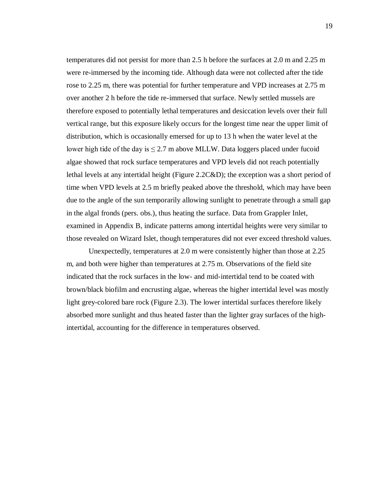temperatures did not persist for more than 2.5 h before the surfaces at 2.0 m and 2.25 m were re-immersed by the incoming tide. Although data were not collected after the tide rose to 2.25 m, there was potential for further temperature and VPD increases at 2.75 m over another 2 h before the tide re-immersed that surface. Newly settled mussels are therefore exposed to potentially lethal temperatures and desiccation levels over their full vertical range, but this exposure likely occurs for the longest time near the upper limit of distribution, which is occasionally emersed for up to 13 h when the water level at the lower high tide of the day is  $\leq$  2.7 m above MLLW. Data loggers placed under fucoid algae showed that rock surface temperatures and VPD levels did not reach potentially lethal levels at any intertidal height (Figure 2.2C&D); the exception was a short period of time when VPD levels at 2.5 m briefly peaked above the threshold, which may have been due to the angle of the sun temporarily allowing sunlight to penetrate through a small gap in the algal fronds (pers. obs.), thus heating the surface. Data from Grappler Inlet, examined in Appendix B, indicate patterns among intertidal heights were very similar to those revealed on Wizard Islet, though temperatures did not ever exceed threshold values.

Unexpectedly, temperatures at 2.0 m were consistently higher than those at 2.25 m, and both were higher than temperatures at 2.75 m. Observations of the field site indicated that the rock surfaces in the low- and mid-intertidal tend to be coated with brown/black biofilm and encrusting algae, whereas the higher intertidal level was mostly light grey-colored bare rock (Figure 2.3). The lower intertidal surfaces therefore likely absorbed more sunlight and thus heated faster than the lighter gray surfaces of the highintertidal, accounting for the difference in temperatures observed.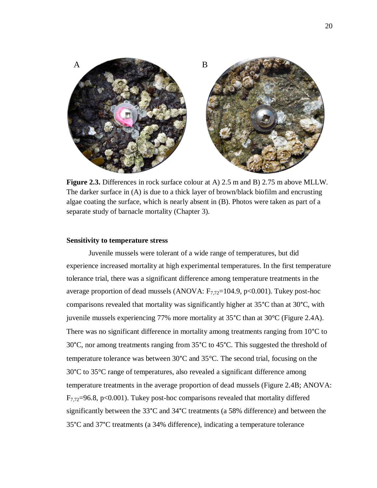

**Figure 2.3.** Differences in rock surface colour at A) 2.5 m and B) 2.75 m above MLLW. The darker surface in (A) is due to a thick layer of brown/black biofilm and encrusting algae coating the surface, which is nearly absent in (B). Photos were taken as part of a separate study of barnacle mortality (Chapter 3).

#### **Sensitivity to temperature stress**

Juvenile mussels were tolerant of a wide range of temperatures, but did experience increased mortality at high experimental temperatures. In the first temperature tolerance trial, there was a significant difference among temperature treatments in the average proportion of dead mussels (ANOVA:  $F_{7,72}$ =104.9, p<0.001). Tukey post-hoc comparisons revealed that mortality was significantly higher at 35°C than at 30°C, with juvenile mussels experiencing 77% more mortality at 35°C than at 30°C (Figure 2.4A). There was no significant difference in mortality among treatments ranging from 10<sup>o</sup>C to 30°C, nor among treatments ranging from 35°C to 45°C. This suggested the threshold of temperature tolerance was between 30°C and 35°C. The second trial, focusing on the 30°C to 35°C range of temperatures, also revealed a significant difference among temperature treatments in the average proportion of dead mussels (Figure 2.4B; ANOVA:  $F_{7,72}=96.8$ , p<0.001). Tukey post-hoc comparisons revealed that mortality differed significantly between the 33°C and 34°C treatments (a 58% difference) and between the 35°C and 37°C treatments (a 34% difference), indicating a temperature tolerance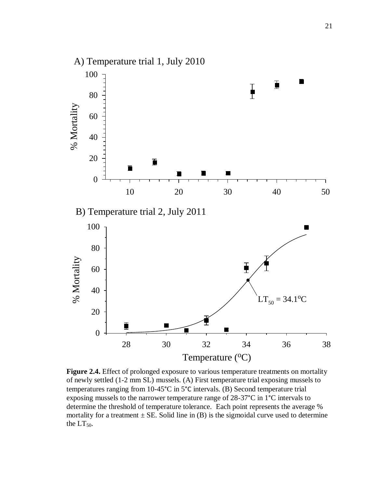

**Figure 2.4.** Effect of prolonged exposure to various temperature treatments on mortality of newly settled (1-2 mm SL) mussels. (A) First temperature trial exposing mussels to temperatures ranging from 10-45°C in 5°C intervals. (B) Second temperature trial exposing mussels to the narrower temperature range of  $28-37^{\circ}$ C in 1<sup>°</sup>C intervals to determine the threshold of temperature tolerance. Each point represents the average % mortality for a treatment  $\pm$  SE. Solid line in (B) is the sigmoidal curve used to determine the  $LT_{50}$ .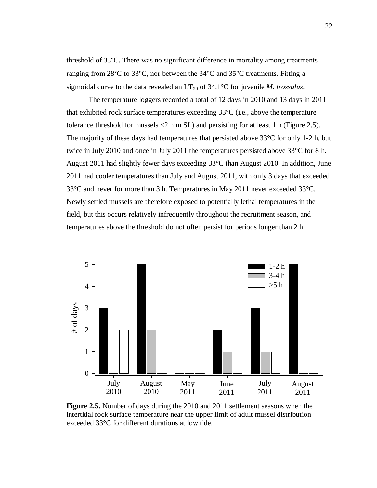threshold of 33°C. There was no significant difference in mortality among treatments ranging from 28°C to 33°C, nor between the 34°C and 35°C treatments. Fitting a sigmoidal curve to the data revealed an  $LT_{50}$  of 34.1°C for juvenile *M. trossulus*.

The temperature loggers recorded a total of 12 days in 2010 and 13 days in 2011 that exhibited rock surface temperatures exceeding  $33^{\circ}C$  (i.e., above the temperature tolerance threshold for mussels <2 mm SL) and persisting for at least 1 h (Figure 2.5). The majority of these days had temperatures that persisted above  $33^{\circ}$ C for only 1-2 h, but twice in July 2010 and once in July 2011 the temperatures persisted above 33°C for 8 h. August 2011 had slightly fewer days exceeding 33°C than August 2010. In addition, June 2011 had cooler temperatures than July and August 2011, with only 3 days that exceeded 33°C and never for more than 3 h. Temperatures in May 2011 never exceeded 33°C. Newly settled mussels are therefore exposed to potentially lethal temperatures in the field, but this occurs relatively infrequently throughout the recruitment season, and temperatures above the threshold do not often persist for periods longer than 2 h.



**Figure 2.5.** Number of days during the 2010 and 2011 settlement seasons when the intertidal rock surface temperature near the upper limit of adult mussel distribution exceeded 33°C for different durations at low tide.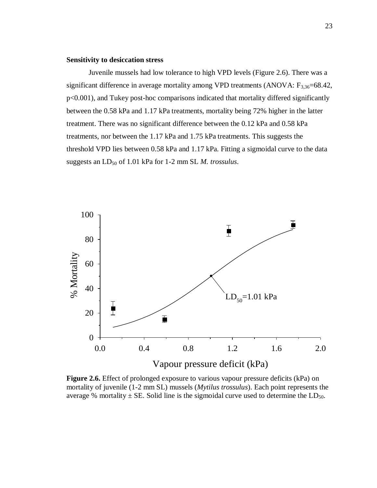#### **Sensitivity to desiccation stress**

Juvenile mussels had low tolerance to high VPD levels (Figure 2.6). There was a significant difference in average mortality among VPD treatments (ANOVA:  $F_{3,36}=68.42$ , p<0.001), and Tukey post-hoc comparisons indicated that mortality differed significantly between the 0.58 kPa and 1.17 kPa treatments, mortality being 72% higher in the latter treatment. There was no significant difference between the 0.12 kPa and 0.58 kPa treatments, nor between the 1.17 kPa and 1.75 kPa treatments. This suggests the threshold VPD lies between 0.58 kPa and 1.17 kPa. Fitting a sigmoidal curve to the data suggests an LD<sub>50</sub> of 1.01 kPa for 1-2 mm SL *M. trossulus*.



**Figure 2.6.** Effect of prolonged exposure to various vapour pressure deficits (kPa) on mortality of juvenile (1-2 mm SL) mussels (*Mytilus trossulus*). Each point represents the average % mortality  $\pm$  SE. Solid line is the sigmoidal curve used to determine the LD<sub>50</sub>.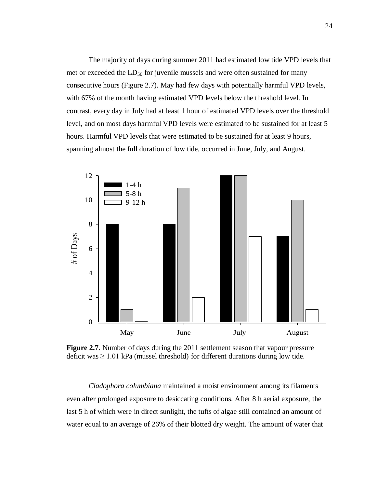The majority of days during summer 2011 had estimated low tide VPD levels that met or exceeded the  $LD_{50}$  for juvenile mussels and were often sustained for many consecutive hours (Figure 2.7). May had few days with potentially harmful VPD levels, with 67% of the month having estimated VPD levels below the threshold level. In contrast, every day in July had at least 1 hour of estimated VPD levels over the threshold level, and on most days harmful VPD levels were estimated to be sustained for at least 5 hours. Harmful VPD levels that were estimated to be sustained for at least 9 hours, spanning almost the full duration of low tide, occurred in June, July, and August.



**Figure 2.7.** Number of days during the 2011 settlement season that vapour pressure deficit was  $\geq 1.01$  kPa (mussel threshold) for different durations during low tide.

*Cladophora columbiana* maintained a moist environment among its filaments even after prolonged exposure to desiccating conditions. After 8 h aerial exposure, the last 5 h of which were in direct sunlight, the tufts of algae still contained an amount of water equal to an average of 26% of their blotted dry weight. The amount of water that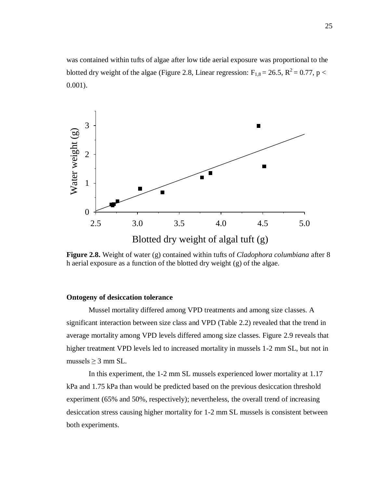was contained within tufts of algae after low tide aerial exposure was proportional to the blotted dry weight of the algae (Figure 2.8, Linear regression:  $F_{1,8} = 26.5$ ,  $R^2 = 0.77$ , p < 0.001).



**Figure 2.8.** Weight of water (g) contained within tufts of *Cladophora columbiana* after 8 h aerial exposure as a function of the blotted dry weight (g) of the algae.

#### **Ontogeny of desiccation tolerance**

Mussel mortality differed among VPD treatments and among size classes. A significant interaction between size class and VPD (Table 2.2) revealed that the trend in average mortality among VPD levels differed among size classes. Figure 2.9 reveals that higher treatment VPD levels led to increased mortality in mussels 1-2 mm SL, but not in mussels  $>$  3 mm SL.

In this experiment, the 1-2 mm SL mussels experienced lower mortality at 1.17 kPa and 1.75 kPa than would be predicted based on the previous desiccation threshold experiment (65% and 50%, respectively); nevertheless, the overall trend of increasing desiccation stress causing higher mortality for 1-2 mm SL mussels is consistent between both experiments.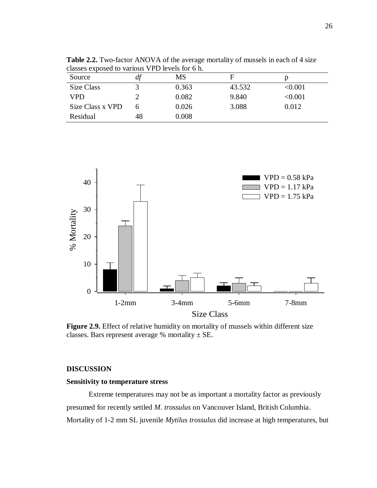| classes exposed to various VPD levels for 6 h. |    |       |        |         |
|------------------------------------------------|----|-------|--------|---------|
| Source                                         | df | MS    | F      |         |
| Size Class                                     |    | 0.363 | 43.532 | < 0.001 |
| VPD                                            |    | 0.082 | 9.840  | < 0.001 |
| Size Class x VPD                               | 6  | 0.026 | 3.088  | 0.012   |
| Residual                                       | 48 | 0.008 |        |         |

**Table 2.2.** Two-factor ANOVA of the average mortality of mussels in each of 4 size

 $\text{VPD} = 0.58 \text{ kPa}$  $\Box$  VPD = 1.17 kPa  $\Box$  VPD = 1.75 kPa Г 30 % Mortality 20 10 0

Size Class

1-2mm 3-4mm 5-6mm 7-8mm

Figure 2.9. Effect of relative humidity on mortality of mussels within different size classes. Bars represent average % mortality  $\pm$  SE.

#### **DISCUSSION** Figure 2. Mortality of blue mussels (*Mytilus trossulus*) at different levels of relative

## **Sensitivity to temperature stress.** Bars represent average  $\mathbb{R}^n$

Extreme temperatures may not be as important a mortality factor as previously presumed for recently settled *M. trossulus* on Vancouver Island, British Columbia. Mortality of 1-2 mm SL juvenile *Mytilus trossulus* did increase at high temperatures, but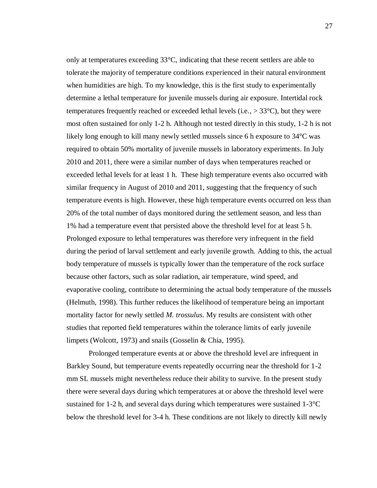only at temperatures exceeding 33°C, indicating that these recent settlers are able to tolerate the majority of temperature conditions experienced in their natural environment when humidities are high. To my knowledge, this is the first study to experimentally determine a lethal temperature for juvenile mussels during air exposure. Intertidal rock temperatures frequently reached or exceeded lethal levels (i.e.,  $> 33^{\circ}$ C), but they were most often sustained for only 1-2 h. Although not tested directly in this study, 1-2 h is not likely long enough to kill many newly settled mussels since 6 h exposure to 34°C was required to obtain 50% mortality of juvenile mussels in laboratory experiments. In July 2010 and 2011, there were a similar number of days when temperatures reached or exceeded lethal levels for at least 1 h. These high temperature events also occurred with similar frequency in August of 2010 and 2011, suggesting that the frequency of such temperature events is high. However, these high temperature events occurred on less than 20% of the total number of days monitored during the settlement season, and less than 1% had a temperature event that persisted above the threshold level for at least 5 h. Prolonged exposure to lethal temperatures was therefore very infrequent in the field during the period of larval settlement and early juvenile growth. Adding to this, the actual body temperature of mussels is typically lower than the temperature of the rock surface because other factors, such as solar radiation, air temperature, wind speed, and evaporative cooling, contribute to determining the actual body temperature of the mussels (Helmuth, 1998). This further reduces the likelihood of temperature being an important mortality factor for newly settled *M. trossulus*. My results are consistent with other studies that reported field temperatures within the tolerance limits of early juvenile limpets (Wolcott, 1973) and snails (Gosselin & Chia, 1995).

Prolonged temperature events at or above the threshold level are infrequent in Barkley Sound, but temperature events repeatedly occurring near the threshold for 1-2 mm SL mussels might nevertheless reduce their ability to survive. In the present study there were several days during which temperatures at or above the threshold level were sustained for 1-2 h, and several days during which temperatures were sustained  $1\text{-}3\textdegree C$ below the threshold level for 3-4 h. These conditions are not likely to directly kill newly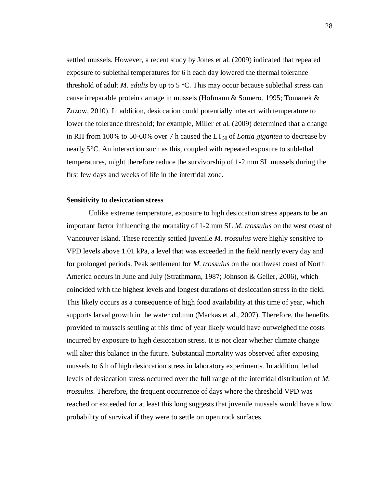settled mussels. However, a recent study by Jones et al. (2009) indicated that repeated exposure to sublethal temperatures for 6 h each day lowered the thermal tolerance threshold of adult *M. edulis* by up to 5 °C. This may occur because sublethal stress can cause irreparable protein damage in mussels (Hofmann & Somero, 1995; Tomanek & Zuzow, 2010). In addition, desiccation could potentially interact with temperature to lower the tolerance threshold; for example, Miller et al. (2009) determined that a change in RH from 100% to 50-60% over 7 h caused the  $LT_{50}$  of *Lottia gigantea* to decrease by nearly 5°C. An interaction such as this, coupled with repeated exposure to sublethal temperatures, might therefore reduce the survivorship of 1-2 mm SL mussels during the first few days and weeks of life in the intertidal zone.

## **Sensitivity to desiccation stress**

Unlike extreme temperature, exposure to high desiccation stress appears to be an important factor influencing the mortality of 1-2 mm SL *M. trossulus* on the west coast of Vancouver Island. These recently settled juvenile *M. trossulus* were highly sensitive to VPD levels above 1.01 kPa, a level that was exceeded in the field nearly every day and for prolonged periods. Peak settlement for *M. trossulus* on the northwest coast of North America occurs in June and July (Strathmann, 1987; Johnson & Geller, 2006), which coincided with the highest levels and longest durations of desiccation stress in the field. This likely occurs as a consequence of high food availability at this time of year, which supports larval growth in the water column (Mackas et al., 2007). Therefore, the benefits provided to mussels settling at this time of year likely would have outweighed the costs incurred by exposure to high desiccation stress. It is not clear whether climate change will alter this balance in the future. Substantial mortality was observed after exposing mussels to 6 h of high desiccation stress in laboratory experiments. In addition, lethal levels of desiccation stress occurred over the full range of the intertidal distribution of *M. trossulus*. Therefore, the frequent occurrence of days where the threshold VPD was reached or exceeded for at least this long suggests that juvenile mussels would have a low probability of survival if they were to settle on open rock surfaces.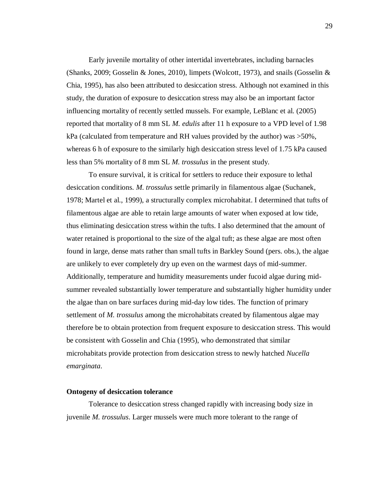Early juvenile mortality of other intertidal invertebrates, including barnacles (Shanks, 2009; Gosselin & Jones, 2010), limpets (Wolcott, 1973), and snails (Gosselin & Chia, 1995), has also been attributed to desiccation stress. Although not examined in this study, the duration of exposure to desiccation stress may also be an important factor influencing mortality of recently settled mussels. For example, LeBlanc et al. (2005) reported that mortality of 8 mm SL *M. edulis* after 11 h exposure to a VPD level of 1.98 kPa (calculated from temperature and RH values provided by the author) was >50%, whereas 6 h of exposure to the similarly high desiccation stress level of 1.75 kPa caused less than 5% mortality of 8 mm SL *M. trossulus* in the present study.

To ensure survival, it is critical for settlers to reduce their exposure to lethal desiccation conditions. *M. trossulus* settle primarily in filamentous algae (Suchanek, 1978; Martel et al., 1999), a structurally complex microhabitat. I determined that tufts of filamentous algae are able to retain large amounts of water when exposed at low tide, thus eliminating desiccation stress within the tufts. I also determined that the amount of water retained is proportional to the size of the algal tuft; as these algae are most often found in large, dense mats rather than small tufts in Barkley Sound (pers. obs.), the algae are unlikely to ever completely dry up even on the warmest days of mid-summer. Additionally, temperature and humidity measurements under fucoid algae during midsummer revealed substantially lower temperature and substantially higher humidity under the algae than on bare surfaces during mid-day low tides. The function of primary settlement of *M. trossulus* among the microhabitats created by filamentous algae may therefore be to obtain protection from frequent exposure to desiccation stress. This would be consistent with Gosselin and Chia (1995), who demonstrated that similar microhabitats provide protection from desiccation stress to newly hatched *Nucella emarginata*.

#### **Ontogeny of desiccation tolerance**

Tolerance to desiccation stress changed rapidly with increasing body size in juvenile *M. trossulus*. Larger mussels were much more tolerant to the range of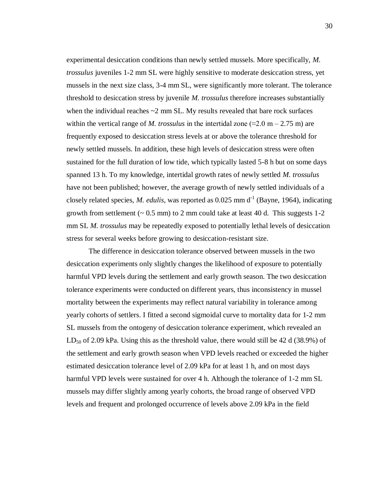experimental desiccation conditions than newly settled mussels. More specifically, *M. trossulus* juveniles 1-2 mm SL were highly sensitive to moderate desiccation stress, yet mussels in the next size class, 3-4 mm SL, were significantly more tolerant. The tolerance threshold to desiccation stress by juvenile *M. trossulus* therefore increases substantially when the individual reaches  $\sim$ 2 mm SL. My results revealed that bare rock surfaces within the vertical range of *M. trossulus* in the intertidal zone ( $\approx$ 2.0 m – 2.75 m) are frequently exposed to desiccation stress levels at or above the tolerance threshold for newly settled mussels. In addition, these high levels of desiccation stress were often sustained for the full duration of low tide, which typically lasted 5-8 h but on some days spanned 13 h. To my knowledge, intertidal growth rates of newly settled *M. trossulus* have not been published; however, the average growth of newly settled individuals of a closely related species, *M. edulis*, was reported as  $0.025$  mm d<sup>-1</sup> (Bayne, 1964), indicating growth from settlement  $(-0.5 \text{ mm})$  to 2 mm could take at least 40 d. This suggests 1-2 mm SL *M. trossulus* may be repeatedly exposed to potentially lethal levels of desiccation stress for several weeks before growing to desiccation-resistant size.

The difference in desiccation tolerance observed between mussels in the two desiccation experiments only slightly changes the likelihood of exposure to potentially harmful VPD levels during the settlement and early growth season. The two desiccation tolerance experiments were conducted on different years, thus inconsistency in mussel mortality between the experiments may reflect natural variability in tolerance among yearly cohorts of settlers. I fitted a second sigmoidal curve to mortality data for 1-2 mm SL mussels from the ontogeny of desiccation tolerance experiment, which revealed an  $LD_{50}$  of 2.09 kPa. Using this as the threshold value, there would still be 42 d (38.9%) of the settlement and early growth season when VPD levels reached or exceeded the higher estimated desiccation tolerance level of 2.09 kPa for at least 1 h, and on most days harmful VPD levels were sustained for over 4 h. Although the tolerance of 1-2 mm SL mussels may differ slightly among yearly cohorts, the broad range of observed VPD levels and frequent and prolonged occurrence of levels above 2.09 kPa in the field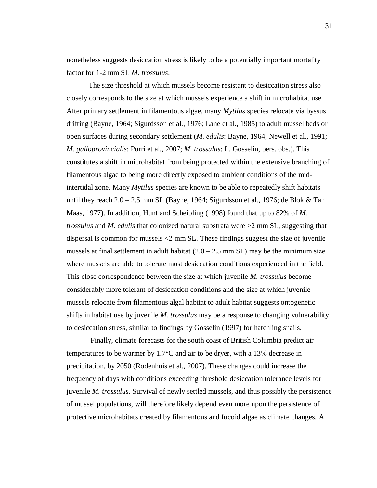nonetheless suggests desiccation stress is likely to be a potentially important mortality factor for 1-2 mm SL *M. trossulus*.

The size threshold at which mussels become resistant to desiccation stress also closely corresponds to the size at which mussels experience a shift in microhabitat use. After primary settlement in filamentous algae, many *Mytilus* species relocate via byssus drifting (Bayne, 1964; Sigurdsson et al., 1976; Lane et al., 1985) to adult mussel beds or open surfaces during secondary settlement (*M. edulis*: Bayne, 1964; Newell et al., 1991; *M. galloprovincialis*: Porri et al., 2007; *M. trossulus*: L. Gosselin, pers. obs.). This constitutes a shift in microhabitat from being protected within the extensive branching of filamentous algae to being more directly exposed to ambient conditions of the midintertidal zone. Many *Mytilus* species are known to be able to repeatedly shift habitats until they reach 2.0 – 2.5 mm SL (Bayne, 1964; Sigurdsson et al., 1976; de Blok & Tan Maas, 1977). In addition, Hunt and Scheibling (1998) found that up to 82% of *M. trossulus* and *M. edulis* that colonized natural substrata were >2 mm SL, suggesting that dispersal is common for mussels <2 mm SL. These findings suggest the size of juvenile mussels at final settlement in adult habitat  $(2.0 - 2.5 \text{ mm SL})$  may be the minimum size where mussels are able to tolerate most desiccation conditions experienced in the field. This close correspondence between the size at which juvenile *M. trossulus* become considerably more tolerant of desiccation conditions and the size at which juvenile mussels relocate from filamentous algal habitat to adult habitat suggests ontogenetic shifts in habitat use by juvenile *M. trossulus* may be a response to changing vulnerability to desiccation stress, similar to findings by Gosselin (1997) for hatchling snails.

Finally, climate forecasts for the south coast of British Columbia predict air temperatures to be warmer by 1.7°C and air to be dryer, with a 13% decrease in precipitation, by 2050 (Rodenhuis et al., 2007). These changes could increase the frequency of days with conditions exceeding threshold desiccation tolerance levels for juvenile *M. trossulus*. Survival of newly settled mussels, and thus possibly the persistence of mussel populations, will therefore likely depend even more upon the persistence of protective microhabitats created by filamentous and fucoid algae as climate changes. A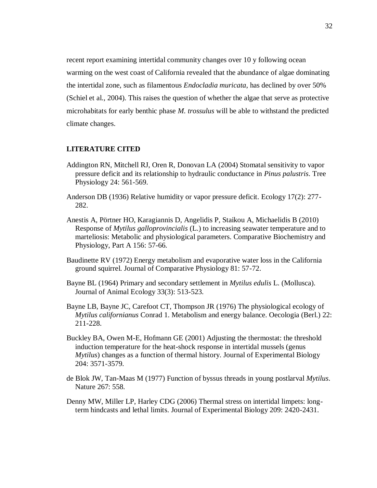recent report examining intertidal community changes over 10 y following ocean warming on the west coast of California revealed that the abundance of algae dominating the intertidal zone, such as filamentous *Endocladia muricata*, has declined by over 50% (Schiel et al., 2004). This raises the question of whether the algae that serve as protective microhabitats for early benthic phase *M. trossulus* will be able to withstand the predicted climate changes.

# **LITERATURE CITED**

- Addington RN, Mitchell RJ, Oren R, Donovan LA (2004) Stomatal sensitivity to vapor pressure deficit and its relationship to hydraulic conductance in *Pinus palustris*. Tree Physiology 24: 561-569.
- Anderson DB (1936) Relative humidity or vapor pressure deficit. Ecology 17(2): 277- 282.
- Anestis A, Pörtner HO, Karagiannis D, Angelidis P, Staikou A, Michaelidis B (2010) Response of *Mytilus galloprovincialis* (L.) to increasing seawater temperature and to marteliosis: Metabolic and physiological parameters. Comparative Biochemistry and Physiology, Part A 156: 57-66.
- Baudinette RV (1972) Energy metabolism and evaporative water loss in the California ground squirrel. Journal of Comparative Physiology 81: 57-72.
- Bayne BL (1964) Primary and secondary settlement in *Mytilus edulis* L. (Mollusca). Journal of Animal Ecology 33(3): 513-523.
- Bayne LB, Bayne JC, Carefoot CT, Thompson JR (1976) The physiological ecology of *Mytilus californianus* Conrad 1. Metabolism and energy balance. Oecologia (Berl.) 22: 211-228.
- Buckley BA, Owen M-E, Hofmann GE (2001) Adjusting the thermostat: the threshold induction temperature for the heat-shock response in intertidal mussels (genus *Mytilus*) changes as a function of thermal history. Journal of Experimental Biology 204: 3571-3579.
- de Blok JW, Tan-Maas M (1977) Function of byssus threads in young postlarval *Mytilus*. Nature 267: 558.
- Denny MW, Miller LP, Harley CDG (2006) Thermal stress on intertidal limpets: longterm hindcasts and lethal limits. Journal of Experimental Biology 209: 2420-2431.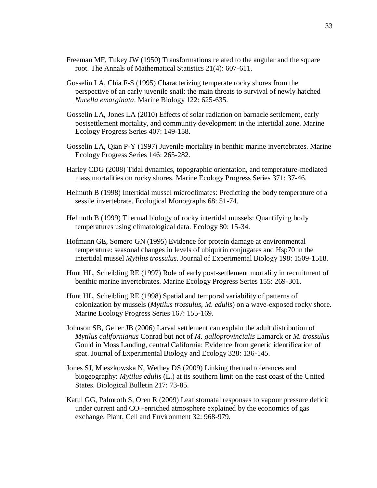- Freeman MF, Tukey JW (1950) Transformations related to the angular and the square root. The Annals of Mathematical Statistics 21(4): 607-611.
- Gosselin LA, Chia F-S (1995) Characterizing temperate rocky shores from the perspective of an early juvenile snail: the main threats to survival of newly hatched *Nucella emarginata*. Marine Biology 122: 625-635.
- Gosselin LA, Jones LA (2010) Effects of solar radiation on barnacle settlement, early postsettlement mortality, and community development in the intertidal zone. Marine Ecology Progress Series 407: 149-158.
- Gosselin LA, Qian P-Y (1997) Juvenile mortality in benthic marine invertebrates. Marine Ecology Progress Series 146: 265-282.
- Harley CDG (2008) Tidal dynamics, topographic orientation, and temperature-mediated mass mortalities on rocky shores. Marine Ecology Progress Series 371: 37-46.
- Helmuth B (1998) Intertidal mussel microclimates: Predicting the body temperature of a sessile invertebrate. Ecological Monographs 68: 51-74.
- Helmuth B (1999) Thermal biology of rocky intertidal mussels: Quantifying body temperatures using climatological data. Ecology 80: 15-34.
- Hofmann GE, Somero GN (1995) Evidence for protein damage at environmental temperature: seasonal changes in levels of ubiquitin conjugates and Hsp70 in the intertidal mussel *Mytilus trossulus*. Journal of Experimental Biology 198: 1509-1518.
- Hunt HL, Scheibling RE (1997) Role of early post-settlement mortality in recruitment of benthic marine invertebrates. Marine Ecology Progress Series 155: 269-301.
- Hunt HL, Scheibling RE (1998) Spatial and temporal variability of patterns of colonization by mussels (*Mytilus trossulus, M. edulis*) on a wave-exposed rocky shore. Marine Ecology Progress Series 167: 155-169.
- Johnson SB, Geller JB (2006) Larval settlement can explain the adult distribution of *Mytilus californianus* Conrad but not of *M. galloprovincialis* Lamarck or *M. trossulus* Gould in Moss Landing, central California: Evidence from genetic identification of spat. Journal of Experimental Biology and Ecology 328: 136-145.
- Jones SJ, Mieszkowska N, Wethey DS (2009) Linking thermal tolerances and biogeography: *Mytilus edulis* (L.) at its southern limit on the east coast of the United States. Biological Bulletin 217: 73-85.
- Katul GG, Palmroth S, Oren R (2009) Leaf stomatal responses to vapour pressure deficit under current and  $CO_2$ -enriched atmosphere explained by the economics of gas exchange. Plant, Cell and Environment 32: 968-979.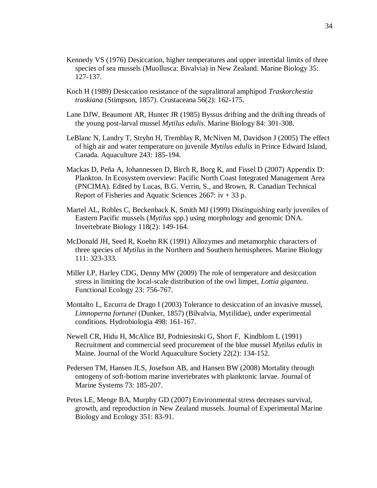- Kennedy VS (1976) Desiccation, higher temperatures and upper intertidal limits of three species of sea mussels (Muollusca: Bivalvia) in New Zealand. Marine Biology 35: 127-137.
- Koch H (1989) Desiccation resistance of the supralittoral amphipod *Traskorchestia traskiana* (Stimpson, 1857). Crustaceana 56(2): 162-175.
- Lane DJW, Beaumont AR, Hunter JR (1985) Byssus drifting and the drifting threads of the young post-larval mussel *Mytilus edulis*. Marine Biology 84: 301-308.
- LeBlanc N, Landry T, Stryhn H, Tremblay R, McNiven M, Davidson J (2005) The effect of high air and water temperature on juvenile *Mytilus edulis* in Prince Edward Island, Canada. Aquaculture 243: 185-194.
- Mackas D, Peña A, Johannessen D, Birch R, Borg K, and Fissel D (2007) Appendix D: Plankton. In Ecosystem overview: Pacific North Coast Integrated Management Area (PNCIMA). Edited by Lucas, B.G. Verrin, S., and Brown, R. Canadian Technical Report of Fisheries and Aquatic Sciences 2667:  $iv + 33 p$ .
- Martel AL, Robles C, Beckenback K, Smith MJ (1999) Distinguishing early juveniles of Eastern Pacific mussels (*Mytilus* spp.) using morphology and genomic DNA. Invertebrate Biology 118(2): 149-164.
- McDonald JH, Seed R, Koehn RK (1991) Allozymes and metamorphic characters of three species of *Mytilus* in the Northern and Southern hemispheres. Marine Biology 111: 323-333.
- Miller LP, Harley CDG, Denny MW (2009) The role of temperature and desiccation stress in limiting the local-scale distribution of the owl limpet, *Lottia gigantea*. Functional Ecology 23: 756-767.
- Montalto L, Ezcurra de Drago I (2003) Tolerance to desiccation of an invasive mussel, *Limnoperna fortunei* (Dunker, 1857) (Bilvalvia, Mytilidae), under experimental conditions. Hydrobiologia 498: 161-167.
- Newell CR, Hidu H, McAlice BJ, Podniesinski G, Short F, Kindblom L (1991) Recruitment and commercial seed procurement of the blue mussel *Mytilus edulis* in Maine. Journal of the World Aquaculture Society 22(2): 134-152.
- Pedersen TM, Hansen JLS, Josefson AB, and Hansen BW (2008) Mortality through ontogeny of soft-bottom marine invertebrates with planktonic larvae. Journal of Marine Systems 73: 185-207.
- Petes LE, Menge BA, Murphy GD (2007) Environmental stress decreases survival, growth, and reproduction in New Zealand mussels. Journal of Experimental Marine Biology and Ecology 351: 83-91.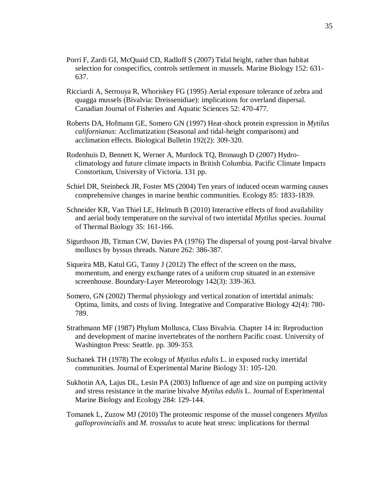- Porri F, Zardi GI, McQuaid CD, Radloff S (2007) Tidal height, rather than habitat selection for conspecifics, controls settlement in mussels. Marine Biology 152: 631- 637.
- Ricciardi A, Serrouya R, Whoriskey FG (1995) Aerial exposure tolerance of zebra and quagga mussels (Bivalvia: Dreissenidiae): implications for overland dispersal. Canadian Journal of Fisheries and Aquatic Sciences 52: 470-477.
- Roberts DA, Hofmann GE, Somero GN (1997) Heat-shock protein expression in *Mytilus californianus*: Acclimatization (Seasonal and tidal-height comparisons) and acclimation effects. Biological Bulletin 192(2): 309-320.
- Rodenhuis D, Bennett K, Werner A, Murdock TQ, Bronaugh D (2007) Hydroclimatology and future climate impacts in British Columbia. Pacific Climate Impacts Constortium, University of Victoria. 131 pp.
- Schiel DR, Steinbeck JR, Foster MS (2004) Ten years of induced ocean warming causes comprehensive changes in marine benthic communities. Ecology 85: 1833-1839.
- Schneider KR, Van Thiel LE, Helmuth B (2010) Interactive effects of food availability and aerial body temperature on the survival of two intertidal *Mytilus* species. Journal of Thermal Biology 35: 161-166.
- Sigurdsson JB, Titman CW, Davies PA (1976) The dispersal of young post-larval bivalve molluscs by byssus threads. Nature 262: 386-387.
- Siqueira MB, Katul GG, Tanny J (2012) The effect of the screen on the mass, momentum, and energy exchange rates of a uniform crop situated in an extensive screenhouse. Boundary-Layer Meteorology 142(3): 339-363.
- Somero, GN (2002) Thermal physiology and vertical zonation of intertidal animals: Optima, limits, and costs of living. Integrative and Comparative Biology 42(4): 780- 789.
- Strathmann MF (1987) Phylum Mollusca, Class Bivalvia. Chapter 14 in: Reproduction and development of marine invertebrates of the northern Pacific coast. University of Washington Press: Seattle. pp. 309-353.
- Suchanek TH (1978) The ecology of *Mytilus edulis* L. in exposed rocky intertidal communities. Journal of Experimental Marine Biology 31: 105-120.
- Sukhotin AA, Lajus DL, Lesin PA (2003) Influence of age and size on pumping activity and stress resistance in the marine bivalve *Mytilus edulis* L. Journal of Experimental Marine Biology and Ecology 284: 129-144.
- Tomanek L, Zuzow MJ (2010) The proteomic response of the mussel congeners *Mytilus galloprovincialis* and *M. trossulus* to acute heat stress: implications for thermal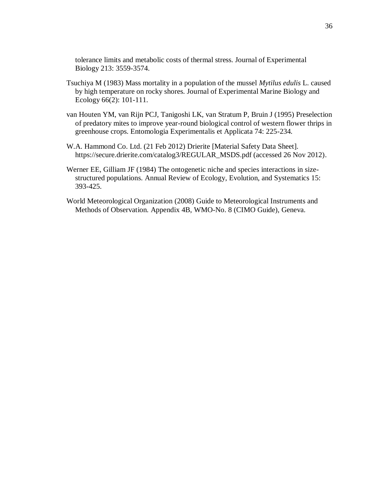tolerance limits and metabolic costs of thermal stress. Journal of Experimental Biology 213: 3559-3574.

- Tsuchiya M (1983) Mass mortality in a population of the mussel *Mytilus edulis* L. caused by high temperature on rocky shores. Journal of Experimental Marine Biology and Ecology 66(2): 101-111.
- van Houten YM, van Rijn PCJ, Tanigoshi LK, van Stratum P, Bruin J (1995) Preselection of predatory mites to improve year-round biological control of western flower thrips in greenhouse crops. Entomologia Experimentalis et Applicata 74: 225-234.
- W.A. Hammond Co. Ltd. (21 Feb 2012) Drierite [Material Safety Data Sheet]. https://secure.drierite.com/catalog3/REGULAR\_MSDS.pdf (accessed 26 Nov 2012).
- Werner EE, Gilliam JF (1984) The ontogenetic niche and species interactions in sizestructured populations. Annual Review of Ecology, Evolution, and Systematics 15: 393-425.
- World Meteorological Organization (2008) Guide to Meteorological Instruments and Methods of Observation. Appendix 4B, WMO-No. 8 (CIMO Guide), Geneva.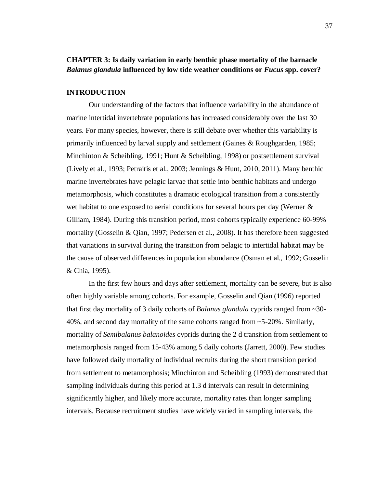# **CHAPTER 3: Is daily variation in early benthic phase mortality of the barnacle**  *Balanus glandula* **influenced by low tide weather conditions or** *Fucus* **spp. cover?**

## **INTRODUCTION**

Our understanding of the factors that influence variability in the abundance of marine intertidal invertebrate populations has increased considerably over the last 30 years. For many species, however, there is still debate over whether this variability is primarily influenced by larval supply and settlement (Gaines & Roughgarden, 1985; Minchinton & Scheibling, 1991; Hunt & Scheibling, 1998) or postsettlement survival (Lively et al., 1993; Petraitis et al., 2003; Jennings & Hunt, 2010, 2011). Many benthic marine invertebrates have pelagic larvae that settle into benthic habitats and undergo metamorphosis, which constitutes a dramatic ecological transition from a consistently wet habitat to one exposed to aerial conditions for several hours per day (Werner & Gilliam, 1984). During this transition period, most cohorts typically experience 60-99% mortality (Gosselin & Qian, 1997; Pedersen et al., 2008). It has therefore been suggested that variations in survival during the transition from pelagic to intertidal habitat may be the cause of observed differences in population abundance (Osman et al., 1992; Gosselin & Chia, 1995).

In the first few hours and days after settlement, mortality can be severe, but is also often highly variable among cohorts. For example, Gosselin and Qian (1996) reported that first day mortality of 3 daily cohorts of *Balanus glandula* cyprids ranged from ~30- 40%, and second day mortality of the same cohorts ranged from ~5-20%. Similarly, mortality of *Semibalanus balanoides* cyprids during the 2 d transition from settlement to metamorphosis ranged from 15-43% among 5 daily cohorts (Jarrett, 2000). Few studies have followed daily mortality of individual recruits during the short transition period from settlement to metamorphosis; Minchinton and Scheibling (1993) demonstrated that sampling individuals during this period at 1.3 d intervals can result in determining significantly higher, and likely more accurate, mortality rates than longer sampling intervals. Because recruitment studies have widely varied in sampling intervals, the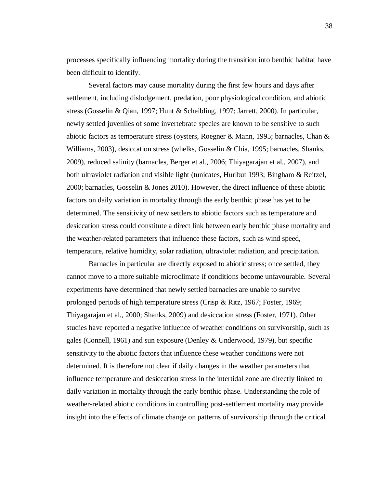processes specifically influencing mortality during the transition into benthic habitat have been difficult to identify.

Several factors may cause mortality during the first few hours and days after settlement, including dislodgement, predation, poor physiological condition, and abiotic stress (Gosselin & Qian, 1997; Hunt & Scheibling, 1997; Jarrett, 2000). In particular, newly settled juveniles of some invertebrate species are known to be sensitive to such abiotic factors as temperature stress (oysters, Roegner & Mann, 1995; barnacles, Chan & Williams, 2003), desiccation stress (whelks, Gosselin & Chia, 1995; barnacles, Shanks, 2009), reduced salinity (barnacles, Berger et al., 2006; Thiyagarajan et al., 2007), and both ultraviolet radiation and visible light (tunicates, Hurlbut 1993; Bingham & Reitzel, 2000; barnacles, Gosselin & Jones 2010). However, the direct influence of these abiotic factors on daily variation in mortality through the early benthic phase has yet to be determined. The sensitivity of new settlers to abiotic factors such as temperature and desiccation stress could constitute a direct link between early benthic phase mortality and the weather-related parameters that influence these factors, such as wind speed, temperature, relative humidity, solar radiation, ultraviolet radiation, and precipitation.

Barnacles in particular are directly exposed to abiotic stress; once settled, they cannot move to a more suitable microclimate if conditions become unfavourable. Several experiments have determined that newly settled barnacles are unable to survive prolonged periods of high temperature stress (Crisp & Ritz, 1967; Foster, 1969; Thiyagarajan et al., 2000; Shanks, 2009) and desiccation stress (Foster, 1971). Other studies have reported a negative influence of weather conditions on survivorship, such as gales (Connell, 1961) and sun exposure (Denley & Underwood, 1979), but specific sensitivity to the abiotic factors that influence these weather conditions were not determined. It is therefore not clear if daily changes in the weather parameters that influence temperature and desiccation stress in the intertidal zone are directly linked to daily variation in mortality through the early benthic phase. Understanding the role of weather-related abiotic conditions in controlling post-settlement mortality may provide insight into the effects of climate change on patterns of survivorship through the critical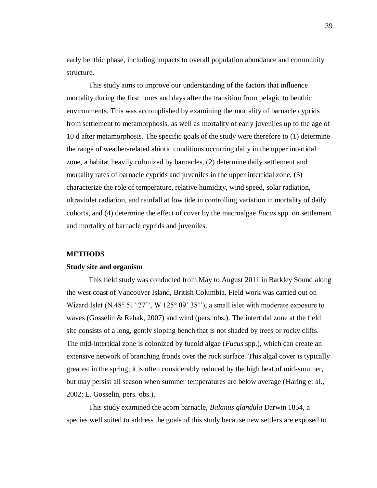early benthic phase, including impacts to overall population abundance and community structure.

This study aims to improve our understanding of the factors that influence mortality during the first hours and days after the transition from pelagic to benthic environments. This was accomplished by examining the mortality of barnacle cyprids from settlement to metamorphosis, as well as mortality of early juveniles up to the age of 10 d after metamorphosis. The specific goals of the study were therefore to (1) determine the range of weather-related abiotic conditions occurring daily in the upper intertidal zone, a habitat heavily colonized by barnacles, (2) determine daily settlement and mortality rates of barnacle cyprids and juveniles in the upper intertidal zone, (3) characterize the role of temperature, relative humidity, wind speed, solar radiation, ultraviolet radiation, and rainfall at low tide in controlling variation in mortality of daily cohorts, and (4) determine the effect of cover by the macroalgae *Fucus* spp. on settlement and mortality of barnacle cyprids and juveniles.

# **METHODS**

#### **Study site and organism**

This field study was conducted from May to August 2011 in Barkley Sound along the west coast of Vancouver Island, British Columbia. Field work was carried out on Wizard Islet (N 48° 51' 27'', W 125° 09' 38''), a small islet with moderate exposure to waves (Gosselin & Rehak, 2007) and wind (pers. obs.). The intertidal zone at the field site consists of a long, gently sloping bench that is not shaded by trees or rocky cliffs. The mid-intertidal zone is colonized by fucoid algae (*Fucus* spp.), which can create an extensive network of branching fronds over the rock surface. This algal cover is typically greatest in the spring; it is often considerably reduced by the high heat of mid-summer, but may persist all season when summer temperatures are below average (Haring et al., 2002; L. Gosselin, pers. obs.).

This study examined the acorn barnacle, *Balanus glandula* Darwin 1854, a species well suited to address the goals of this study because new settlers are exposed to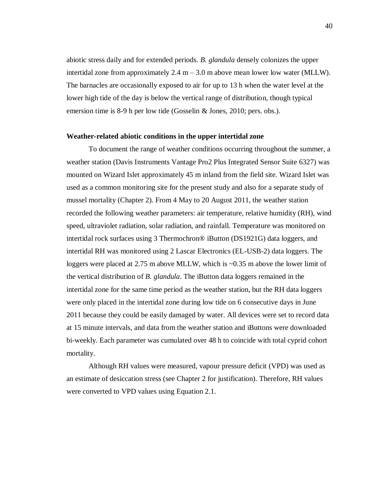abiotic stress daily and for extended periods. *B. glandula* densely colonizes the upper intertidal zone from approximately  $2.4 \text{ m} - 3.0 \text{ m}$  above mean lower low water (MLLW). The barnacles are occasionally exposed to air for up to 13 h when the water level at the lower high tide of the day is below the vertical range of distribution, though typical emersion time is 8-9 h per low tide (Gosselin & Jones, 2010; pers. obs.).

# **Weather-related abiotic conditions in the upper intertidal zone**

To document the range of weather conditions occurring throughout the summer, a weather station (Davis Instruments Vantage Pro2 Plus Integrated Sensor Suite 6327) was mounted on Wizard Islet approximately 45 m inland from the field site. Wizard Islet was used as a common monitoring site for the present study and also for a separate study of mussel mortality (Chapter 2). From 4 May to 20 August 2011, the weather station recorded the following weather parameters: air temperature, relative humidity (RH), wind speed, ultraviolet radiation, solar radiation, and rainfall. Temperature was monitored on intertidal rock surfaces using 3 Thermochron® iButton (DS1921G) data loggers, and intertidal RH was monitored using 2 Lascar Electronics (EL-USB-2) data loggers. The loggers were placed at 2.75 m above MLLW, which is ~0.35 m above the lower limit of the vertical distribution of *B. glandula*. The iButton data loggers remained in the intertidal zone for the same time period as the weather station, but the RH data loggers were only placed in the intertidal zone during low tide on 6 consecutive days in June 2011 because they could be easily damaged by water. All devices were set to record data at 15 minute intervals, and data from the weather station and iButtons were downloaded bi-weekly. Each parameter was cumulated over 48 h to coincide with total cyprid cohort mortality.

Although RH values were measured, vapour pressure deficit (VPD) was used as an estimate of desiccation stress (see Chapter 2 for justification). Therefore, RH values were converted to VPD values using Equation 2.1.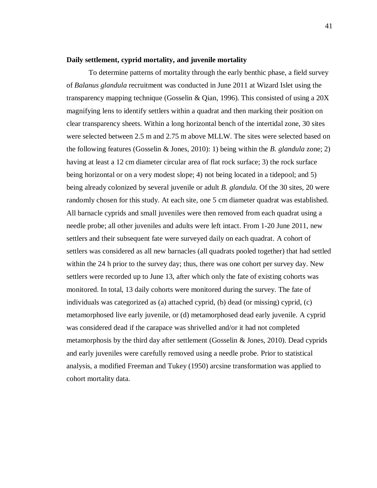#### **Daily settlement, cyprid mortality, and juvenile mortality**

To determine patterns of mortality through the early benthic phase, a field survey of *Balanus glandula* recruitment was conducted in June 2011 at Wizard Islet using the transparency mapping technique (Gosselin & Qian, 1996). This consisted of using a 20X magnifying lens to identify settlers within a quadrat and then marking their position on clear transparency sheets. Within a long horizontal bench of the intertidal zone, 30 sites were selected between 2.5 m and 2.75 m above MLLW. The sites were selected based on the following features (Gosselin & Jones, 2010): 1) being within the *B. glandula* zone; 2) having at least a 12 cm diameter circular area of flat rock surface; 3) the rock surface being horizontal or on a very modest slope; 4) not being located in a tidepool; and 5) being already colonized by several juvenile or adult *B. glandula*. Of the 30 sites, 20 were randomly chosen for this study. At each site, one 5 cm diameter quadrat was established. All barnacle cyprids and small juveniles were then removed from each quadrat using a needle probe; all other juveniles and adults were left intact. From 1-20 June 2011, new settlers and their subsequent fate were surveyed daily on each quadrat. A cohort of settlers was considered as all new barnacles (all quadrats pooled together) that had settled within the 24 h prior to the survey day; thus, there was one cohort per survey day. New settlers were recorded up to June 13, after which only the fate of existing cohorts was monitored. In total, 13 daily cohorts were monitored during the survey. The fate of individuals was categorized as (a) attached cyprid, (b) dead (or missing) cyprid, (c) metamorphosed live early juvenile, or (d) metamorphosed dead early juvenile. A cyprid was considered dead if the carapace was shrivelled and/or it had not completed metamorphosis by the third day after settlement (Gosselin & Jones, 2010). Dead cyprids and early juveniles were carefully removed using a needle probe. Prior to statistical analysis, a modified Freeman and Tukey (1950) arcsine transformation was applied to cohort mortality data.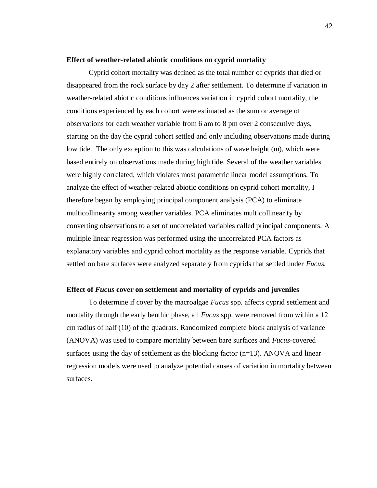#### **Effect of weather-related abiotic conditions on cyprid mortality**

Cyprid cohort mortality was defined as the total number of cyprids that died or disappeared from the rock surface by day 2 after settlement. To determine if variation in weather-related abiotic conditions influences variation in cyprid cohort mortality, the conditions experienced by each cohort were estimated as the sum or average of observations for each weather variable from 6 am to 8 pm over 2 consecutive days, starting on the day the cyprid cohort settled and only including observations made during low tide. The only exception to this was calculations of wave height (m), which were based entirely on observations made during high tide. Several of the weather variables were highly correlated, which violates most parametric linear model assumptions. To analyze the effect of weather-related abiotic conditions on cyprid cohort mortality, I therefore began by employing principal component analysis (PCA) to eliminate multicollinearity among weather variables. PCA eliminates multicollinearity by converting observations to a set of uncorrelated variables called principal components. A multiple linear regression was performed using the uncorrelated PCA factors as explanatory variables and cyprid cohort mortality as the response variable. Cyprids that settled on bare surfaces were analyzed separately from cyprids that settled under *Fucus.*

# **Effect of** *Fucus* **cover on settlement and mortality of cyprids and juveniles**

To determine if cover by the macroalgae *Fucus* spp*.* affects cyprid settlement and mortality through the early benthic phase, all *Fucus* spp. were removed from within a 12 cm radius of half (10) of the quadrats. Randomized complete block analysis of variance (ANOVA) was used to compare mortality between bare surfaces and *Fucus*-covered surfaces using the day of settlement as the blocking factor  $(n=13)$ . ANOVA and linear regression models were used to analyze potential causes of variation in mortality between surfaces.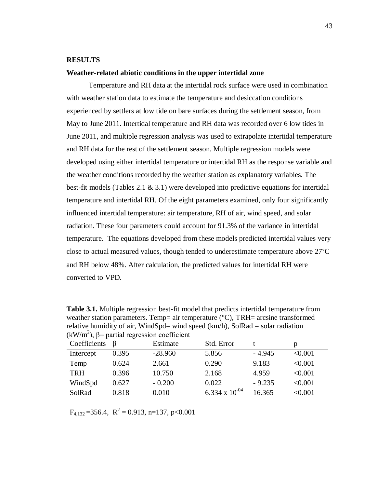## **RESULTS**

## **Weather-related abiotic conditions in the upper intertidal zone**

Temperature and RH data at the intertidal rock surface were used in combination with weather station data to estimate the temperature and desiccation conditions experienced by settlers at low tide on bare surfaces during the settlement season, from May to June 2011. Intertidal temperature and RH data was recorded over 6 low tides in June 2011, and multiple regression analysis was used to extrapolate intertidal temperature and RH data for the rest of the settlement season. Multiple regression models were developed using either intertidal temperature or intertidal RH as the response variable and the weather conditions recorded by the weather station as explanatory variables. The best-fit models (Tables 2.1 & 3.1) were developed into predictive equations for intertidal temperature and intertidal RH. Of the eight parameters examined, only four significantly influenced intertidal temperature: air temperature, RH of air, wind speed, and solar radiation. These four parameters could account for 91.3% of the variance in intertidal temperature. The equations developed from these models predicted intertidal values very close to actual measured values, though tended to underestimate temperature above 27°C and RH below 48%. After calculation, the predicted values for intertidal RH were converted to VPD.

**Table 3.1.** Multiple regression best-fit model that predicts intertidal temperature from weather station parameters. Temp= air temperature ( $\degree$ C), TRH= arcsine transformed relative humidity of air, WindSpd= wind speed  $(km/h)$ , SolRad = solar radiation (kW/m<sup>2</sup>),  $\beta$ = partial regression coefficient

| $(XN)$ in $Y$ , $Y$<br>partial regression coefficient |                   |           |                    |          |         |
|-------------------------------------------------------|-------------------|-----------|--------------------|----------|---------|
| Coefficients                                          | B                 | Estimate  | Std. Error         |          | p       |
| Intercept                                             | 0.395             | $-28.960$ | 5.856              | $-4.945$ | < 0.001 |
| Temp                                                  | 0.624             | 2.661     | 0.290              | 9.183    | < 0.001 |
| <b>TRH</b>                                            | 0.396             | 10.750    | 2.168              | 4.959    | < 0.001 |
| WindSpd                                               | 0.627             | $-0.200$  | 0.022              | $-9.235$ | < 0.001 |
| SolRad                                                | 0.818             | 0.010     | 6.334 x $10^{-04}$ | 16.365   | < 0.001 |
|                                                       |                   |           |                    |          |         |
|                                                       | $- -  -2$ $    -$ |           |                    |          |         |

 $F_{4,132}$  = 356.4,  $R^2$  = 0.913, n=137, p<0.001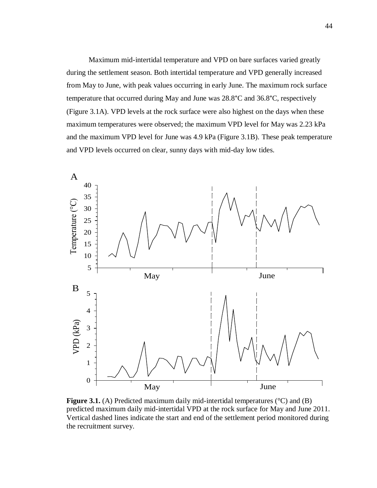Maximum mid-intertidal temperature and VPD on bare surfaces varied greatly during the settlement season. Both intertidal temperature and VPD generally increased from May to June, with peak values occurring in early June. The maximum rock surface temperature that occurred during May and June was 28.8°C and 36.8°C, respectively (Figure 3.1A). VPD levels at the rock surface were also highest on the days when these maximum temperatures were observed; the maximum VPD level for May was 2.23 kPa and the maximum VPD level for June was 4.9 kPa (Figure 3.1B). These peak temperature and VPD levels occurred on clear, sunny days with mid-day low tides.



**Figure 3.1.** (A) Predicted maximum daily mid-intertidal temperatures (°C) and (B) predicted maximum daily mid-intertidal VPD at the rock surface for May and June 2011. Vertical dashed lines indicate the start and end of the settlement period monitored during the recruitment survey.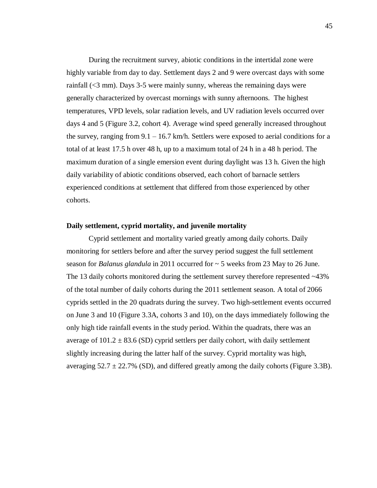During the recruitment survey, abiotic conditions in the intertidal zone were highly variable from day to day. Settlement days 2 and 9 were overcast days with some rainfall (<3 mm). Days 3-5 were mainly sunny, whereas the remaining days were generally characterized by overcast mornings with sunny afternoons. The highest temperatures, VPD levels, solar radiation levels, and UV radiation levels occurred over days 4 and 5 (Figure 3.2, cohort 4). Average wind speed generally increased throughout the survey, ranging from  $9.1 - 16.7$  km/h. Settlers were exposed to aerial conditions for a total of at least 17.5 h over 48 h, up to a maximum total of 24 h in a 48 h period. The maximum duration of a single emersion event during daylight was 13 h. Given the high daily variability of abiotic conditions observed, each cohort of barnacle settlers experienced conditions at settlement that differed from those experienced by other cohorts.

# **Daily settlement, cyprid mortality, and juvenile mortality**

Cyprid settlement and mortality varied greatly among daily cohorts. Daily monitoring for settlers before and after the survey period suggest the full settlement season for *Balanus glandula* in 2011 occurred for ~ 5 weeks from 23 May to 26 June. The 13 daily cohorts monitored during the settlement survey therefore represented  $\sim$ 43% of the total number of daily cohorts during the 2011 settlement season. A total of 2066 cyprids settled in the 20 quadrats during the survey. Two high-settlement events occurred on June 3 and 10 (Figure 3.3A, cohorts 3 and 10), on the days immediately following the only high tide rainfall events in the study period. Within the quadrats, there was an average of  $101.2 \pm 83.6$  (SD) cyprid settlers per daily cohort, with daily settlement slightly increasing during the latter half of the survey. Cyprid mortality was high, averaging  $52.7 \pm 22.7\%$  (SD), and differed greatly among the daily cohorts (Figure 3.3B).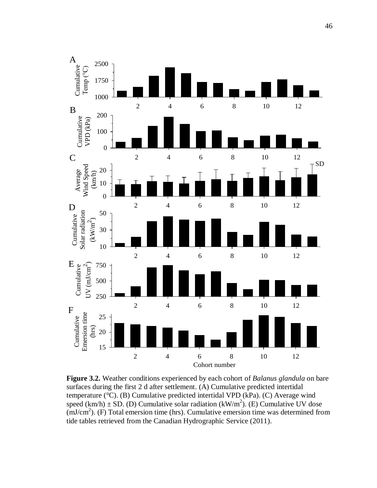

**Figure 3.2.** Weather conditions experienced by each cohort of *Balanus glandula* on bare surfaces during the first 2 d after settlement. (A) Cumulative predicted intertidal temperature (°C). (B) Cumulative predicted intertidal VPD (kPa). (C) Average wind speed  $(km/h) \pm SD$ . (D) Cumulative solar radiation  $(kW/m^2)$ . (E) Cumulative UV dose  $(mJ/cm<sup>2</sup>)$ . (F) Total emersion time (hrs). Cumulative emersion time was determined from tide tables retrieved from the Canadian Hydrographic Service (2011).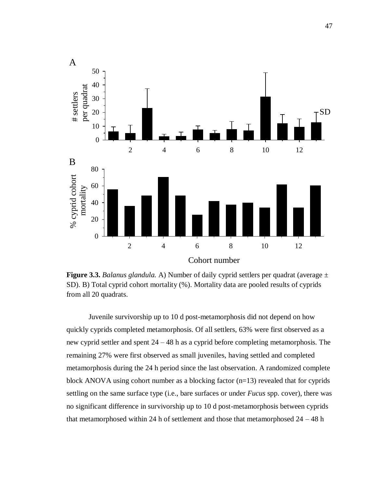

**Figure 3.3.** *Balanus glandula.* A) Number of daily cyprid settlers per quadrat (average ± SD). B) Total cyprid cohort mortality (%). Mortality data are pooled results of cyprids from all 20 quadrats.

Juvenile survivorship up to 10 d post-metamorphosis did not depend on how quickly cyprids completed metamorphosis. Of all settlers, 63% were first observed as a new cyprid settler and spent 24 – 48 h as a cyprid before completing metamorphosis. The remaining 27% were first observed as small juveniles, having settled and completed metamorphosis during the 24 h period since the last observation. A randomized complete block ANOVA using cohort number as a blocking factor (n=13) revealed that for cyprids settling on the same surface type (i.e., bare surfaces or under *Fucus* spp. cover), there was no significant difference in survivorship up to 10 d post-metamorphosis between cyprids that metamorphosed within 24 h of settlement and those that metamorphosed  $24 - 48$  h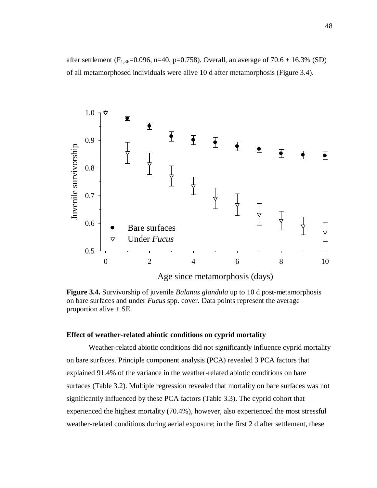after settlement (F<sub>1,36</sub>=0.096, n=40, p=0.758). Overall, an average of 70.6  $\pm$  16.3% (SD) of all metamorphosed individuals were alive 10 d after metamorphosis (Figure 3.4).



**Figure 3.4.** Survivorship of juvenile *Balanus glandula* up to 10 d post-metamorphosis on bare surfaces and under *Fucus* spp. cover. Data points represent the average proportion alive  $\pm$  SE.

# **Effect of weather-related abiotic conditions on cyprid mortality**

Weather-related abiotic conditions did not significantly influence cyprid mortality on bare surfaces. Principle component analysis (PCA) revealed 3 PCA factors that explained 91.4% of the variance in the weather-related abiotic conditions on bare surfaces (Table 3.2). Multiple regression revealed that mortality on bare surfaces was not significantly influenced by these PCA factors (Table 3.3). The cyprid cohort that experienced the highest mortality (70.4%), however, also experienced the most stressful weather-related conditions during aerial exposure; in the first 2 d after settlement, these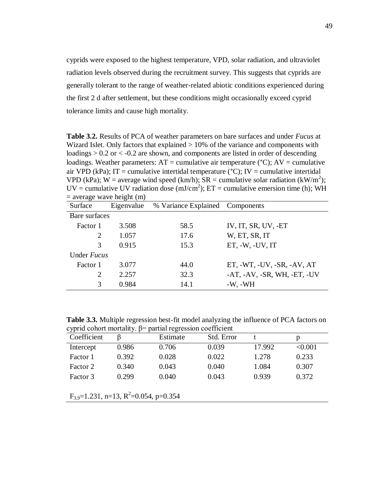cyprids were exposed to the highest temperature, VPD, solar radiation, and ultraviolet radiation levels observed during the recruitment survey. This suggests that cyprids are generally tolerant to the range of weather-related abiotic conditions experienced during the first 2 d after settlement, but these conditions might occasionally exceed cyprid tolerance limits and cause high mortality.

**Table 3.2.** Results of PCA of weather parameters on bare surfaces and under *Fucus* at Wizard Islet. Only factors that explained  $> 10\%$  of the variance and components with loadings  $> 0.2$  or  $< -0.2$  are shown, and components are listed in order of descending loadings. Weather parameters:  $AT =$  cumulative air temperature (°C);  $AV =$  cumulative air VPD (kPa); IT = cumulative intertidal temperature ( $°C$ ); IV = cumulative intertidal VPD (kPa); W = average wind speed (km/h);  $SR =$  cumulative solar radiation (kW/m<sup>2</sup>); UV = cumulative UV radiation dose (mJ/cm<sup>2</sup>); ET = cumulative emersion time (h); WH  $=$  average wave height  $(m)$ 

| Surface       | Eigenvalue | % Variance Explained Components |                                              |
|---------------|------------|---------------------------------|----------------------------------------------|
| Bare surfaces |            |                                 |                                              |
| Factor 1      | 3.508      | 58.5                            | IV, IT, SR, UV, -ET                          |
| 2             | 1.057      | 17.6                            | W, ET, SR, IT                                |
| $\mathcal{R}$ | 0.915      | 15.3                            | $ET, -W, -UV, IT$                            |
| Under Fucus   |            |                                 |                                              |
| Factor 1      | 3.077      | 44.0                            | ET, -WT, -UV, -SR, -AV, AT                   |
| 2             | 2.257      | 32.3                            | $-AT$ , $-AV$ , $-SR$ , $WH$ , $-ET$ , $-UV$ |
| 3             | 0.984      | 14.1                            | $-W$ , $-WH$                                 |

**Table 3.3.** Multiple regression best-fit model analyzing the influence of PCA factors on cyprid cohort mortality. β= partial regression coefficient

| Coefficient                                              |       | Estimate | Std. Error |        | p       |  |
|----------------------------------------------------------|-------|----------|------------|--------|---------|--|
| Intercept                                                | 0.986 | 0.706    | 0.039      | 17.992 | < 0.001 |  |
| Factor 1                                                 | 0.392 | 0.028    | 0.022      | 1.278  | 0.233   |  |
| Factor 2                                                 | 0.340 | 0.043    | 0.040      | 1.084  | 0.307   |  |
| Factor 3                                                 | 0.299 | 0.040    | 0.043      | 0.939  | 0.372   |  |
|                                                          |       |          |            |        |         |  |
| $F_{3.9} = 1.231$ , n=13, R <sup>2</sup> =0.054, p=0.354 |       |          |            |        |         |  |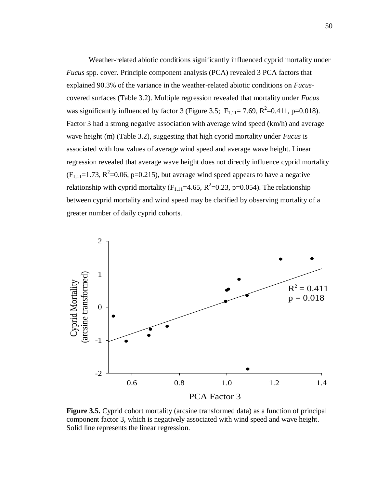Weather-related abiotic conditions significantly influenced cyprid mortality under *Fucus* spp. cover. Principle component analysis (PCA) revealed 3 PCA factors that explained 90.3% of the variance in the weather-related abiotic conditions on *Fucus*covered surfaces (Table 3.2). Multiple regression revealed that mortality under *Fucus*  was significantly influenced by factor 3 (Figure 3.5;  $F_{1,11} = 7.69$ ,  $R^2 = 0.411$ , p=0.018). Factor 3 had a strong negative association with average wind speed (km/h) and average wave height (m) (Table 3.2), suggesting that high cyprid mortality under *Fucus* is associated with low values of average wind speed and average wave height. Linear regression revealed that average wave height does not directly influence cyprid mortality  $(F_{1,11}=1.73, R^2=0.06, p=0.215)$ , but average wind speed appears to have a negative relationship with cyprid mortality ( $F_{1,11}$ =4.65,  $R^2$ =0.23, p=0.054). The relationship between cyprid mortality and wind speed may be clarified by observing mortality of a greater number of daily cyprid cohorts.



**Figure 3.5.** Cyprid cohort mortality (arcsine transformed data) as a function of principal component factor 3, which is negatively associated with wind speed and wave height. Solid line represents the linear regression.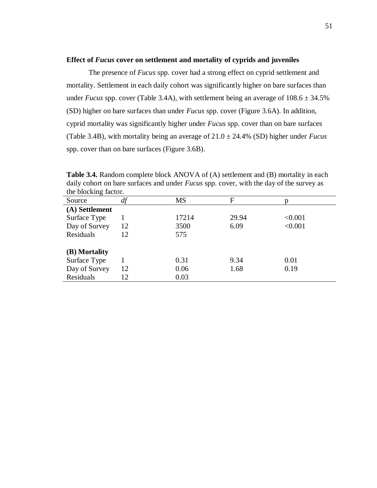#### **Effect of** *Fucus* **cover on settlement and mortality of cyprids and juveniles**

The presence of *Fucus* spp. cover had a strong effect on cyprid settlement and mortality. Settlement in each daily cohort was significantly higher on bare surfaces than under *Fucus* spp. cover (Table 3.4A), with settlement being an average of  $108.6 \pm 34.5\%$ (SD) higher on bare surfaces than under *Fucus* spp. cover (Figure 3.6A). In addition, cyprid mortality was significantly higher under *Fucus* spp. cover than on bare surfaces (Table 3.4B), with mortality being an average of 21.0 ± 24.4% (SD) higher under *Fucus* spp. cover than on bare surfaces (Figure 3.6B).

| the blocking factor. |    |           |       |         |
|----------------------|----|-----------|-------|---------|
| Source               | df | <b>MS</b> | F     |         |
| (A) Settlement       |    |           |       |         |
| Surface Type         |    | 17214     | 29.94 | < 0.001 |
| Day of Survey        | 12 | 3500      | 6.09  | < 0.001 |
| Residuals            | 12 | 575       |       |         |
| (B) Mortality        |    |           |       |         |
| Surface Type         |    | 0.31      | 9.34  | 0.01    |
| Day of Survey        | 12 | 0.06      | 1.68  | 0.19    |
| Residuals            | 12 | 0.03      |       |         |

**Table 3.4.** Random complete block ANOVA of (A) settlement and (B) mortality in each daily cohort on bare surfaces and under *Fucus* spp. cover, with the day of the survey as the blocking factor.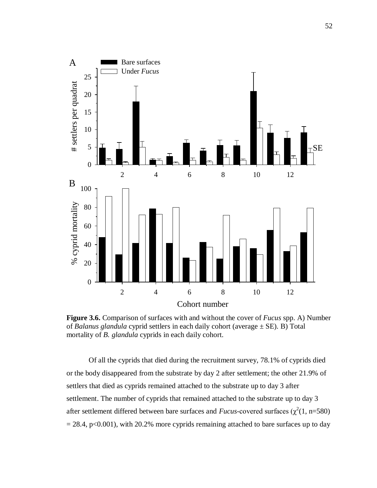

**Figure 3.6.** Comparison of surfaces with and without the cover of *Fucus* spp. A) Number of *Balanus glandula* cyprid settlers in each daily cohort (average ± SE). B) Total mortality of *B. glandula* cyprids in each daily cohort.

Of all the cyprids that died during the recruitment survey, 78.1% of cyprids died or the body disappeared from the substrate by day 2 after settlement; the other 21.9% of settlers that died as cyprids remained attached to the substrate up to day 3 after settlement. The number of cyprids that remained attached to the substrate up to day 3 after settlement differed between bare surfaces and *Fucus*-covered surfaces ( $\chi^2(1, n=580)$ )  $= 28.4$ , p<0.001), with 20.2% more cyprids remaining attached to bare surfaces up to day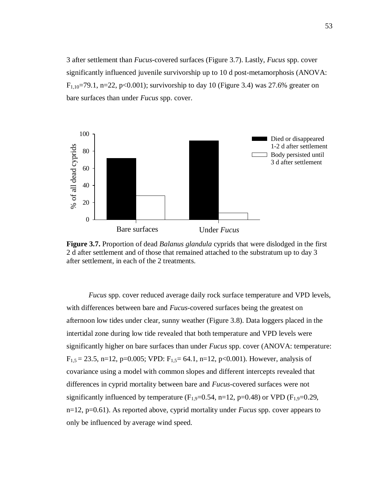3 after settlement than *Fucus-*covered surfaces (Figure 3.7). Lastly, *Fucus* spp. cover significantly influenced juvenile survivorship up to 10 d post-metamorphosis (ANOVA:  $F_{1,10}=79.1$ , n=22, p<0.001); survivorship to day 10 (Figure 3.4) was 27.6% greater on bare surfaces than under *Fucus* spp. cover.



**Figure 3.7.** Proportion of dead *Balanus glandula* cyprids that were dislodged in the first 2 d after settlement and of those that remained attached to the substratum up to day 3 after settlement, in each of the 2 treatments.

*Fucus* spp. cover reduced average daily rock surface temperature and VPD levels, with differences between bare and *Fucus*-covered surfaces being the greatest on afternoon low tides under clear, sunny weather (Figure 3.8). Data loggers placed in the intertidal zone during low tide revealed that both temperature and VPD levels were significantly higher on bare surfaces than under *Fucus* spp. cover (ANOVA: temperature:  $F_{1,5} = 23.5$ , n=12, p=0.005; VPD:  $F_{1,5} = 64.1$ , n=12, p<0.001). However, analysis of covariance using a model with common slopes and different intercepts revealed that differences in cyprid mortality between bare and *Fucus*-covered surfaces were not significantly influenced by temperature  $(F_{1,9}=0.54, n=12, p=0.48)$  or VPD  $(F_{1,9}=0.29,$ n=12, p=0.61). As reported above, cyprid mortality under *Fucus* spp. cover appears to only be influenced by average wind speed.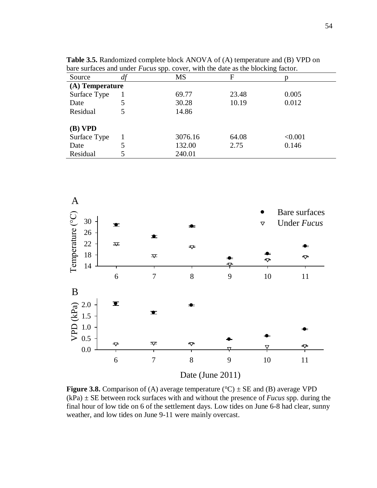|                 | . . |           |       |         |  |  |
|-----------------|-----|-----------|-------|---------|--|--|
| Source          | df  | <b>MS</b> | F     |         |  |  |
| (A) Temperature |     |           |       |         |  |  |
| Surface Type    |     | 69.77     | 23.48 | 0.005   |  |  |
| Date            | 5   | 30.28     | 10.19 | 0.012   |  |  |
| Residual        |     | 14.86     |       |         |  |  |
| $(B)$ VPD       |     |           |       |         |  |  |
| Surface Type    |     | 3076.16   | 64.08 | < 0.001 |  |  |
| Date            |     | 132.00    | 2.75  | 0.146   |  |  |
| Residual        |     | 240.01    |       |         |  |  |

**Table 3.5.** Randomized complete block ANOVA of (A) temperature and (B) VPD on bare surfaces and under *Fucus* spp. cover, with the date as the blocking factor.



**Figure 3.8.** Comparison of (A) average temperature ( $\degree$ C)  $\pm$  SE and (B) average VPD  $(kPa) \pm SE$  between rock surfaces with and without the presence of *Fucus* spp. during the final hour of low tide on 6 of the settlement days. Low tides on June 6-8 had clear, sunny weather, and low tides on June 9-11 were mainly overcast.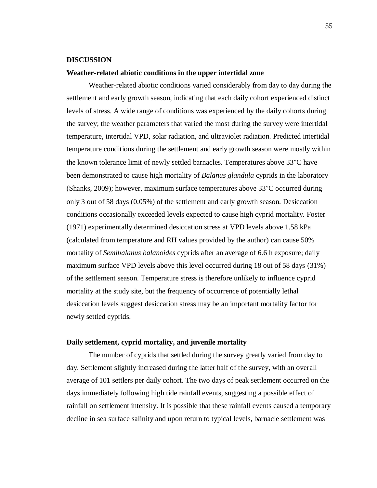#### **DISCUSSION**

## **Weather-related abiotic conditions in the upper intertidal zone**

Weather-related abiotic conditions varied considerably from day to day during the settlement and early growth season, indicating that each daily cohort experienced distinct levels of stress. A wide range of conditions was experienced by the daily cohorts during the survey; the weather parameters that varied the most during the survey were intertidal temperature, intertidal VPD, solar radiation, and ultraviolet radiation. Predicted intertidal temperature conditions during the settlement and early growth season were mostly within the known tolerance limit of newly settled barnacles. Temperatures above 33°C have been demonstrated to cause high mortality of *Balanus glandula* cyprids in the laboratory (Shanks, 2009); however, maximum surface temperatures above 33°C occurred during only 3 out of 58 days (0.05%) of the settlement and early growth season. Desiccation conditions occasionally exceeded levels expected to cause high cyprid mortality. Foster (1971) experimentally determined desiccation stress at VPD levels above 1.58 kPa (calculated from temperature and RH values provided by the author) can cause 50% mortality of *Semibalanus balanoides* cyprids after an average of 6.6 h exposure; daily maximum surface VPD levels above this level occurred during 18 out of 58 days (31%) of the settlement season. Temperature stress is therefore unlikely to influence cyprid mortality at the study site, but the frequency of occurrence of potentially lethal desiccation levels suggest desiccation stress may be an important mortality factor for newly settled cyprids.

# **Daily settlement, cyprid mortality, and juvenile mortality**

The number of cyprids that settled during the survey greatly varied from day to day. Settlement slightly increased during the latter half of the survey, with an overall average of 101 settlers per daily cohort. The two days of peak settlement occurred on the days immediately following high tide rainfall events, suggesting a possible effect of rainfall on settlement intensity. It is possible that these rainfall events caused a temporary decline in sea surface salinity and upon return to typical levels, barnacle settlement was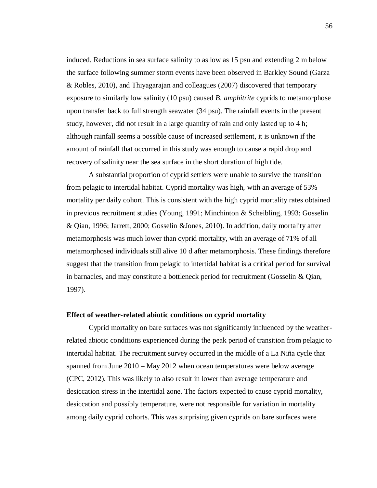induced. Reductions in sea surface salinity to as low as 15 psu and extending 2 m below the surface following summer storm events have been observed in Barkley Sound (Garza & Robles, 2010), and Thiyagarajan and colleagues (2007) discovered that temporary exposure to similarly low salinity (10 psu) caused *B. amphitrite* cyprids to metamorphose upon transfer back to full strength seawater (34 psu). The rainfall events in the present study, however, did not result in a large quantity of rain and only lasted up to 4 h; although rainfall seems a possible cause of increased settlement, it is unknown if the amount of rainfall that occurred in this study was enough to cause a rapid drop and recovery of salinity near the sea surface in the short duration of high tide.

A substantial proportion of cyprid settlers were unable to survive the transition from pelagic to intertidal habitat. Cyprid mortality was high, with an average of 53% mortality per daily cohort. This is consistent with the high cyprid mortality rates obtained in previous recruitment studies (Young, 1991; Minchinton & Scheibling, 1993; Gosselin & Qian, 1996; Jarrett, 2000; Gosselin &Jones, 2010). In addition, daily mortality after metamorphosis was much lower than cyprid mortality, with an average of 71% of all metamorphosed individuals still alive 10 d after metamorphosis. These findings therefore suggest that the transition from pelagic to intertidal habitat is a critical period for survival in barnacles, and may constitute a bottleneck period for recruitment (Gosselin & Qian, 1997).

# **Effect of weather-related abiotic conditions on cyprid mortality**

Cyprid mortality on bare surfaces was not significantly influenced by the weatherrelated abiotic conditions experienced during the peak period of transition from pelagic to intertidal habitat. The recruitment survey occurred in the middle of a La Niña cycle that spanned from June 2010 – May 2012 when ocean temperatures were below average (CPC, 2012). This was likely to also result in lower than average temperature and desiccation stress in the intertidal zone. The factors expected to cause cyprid mortality, desiccation and possibly temperature, were not responsible for variation in mortality among daily cyprid cohorts. This was surprising given cyprids on bare surfaces were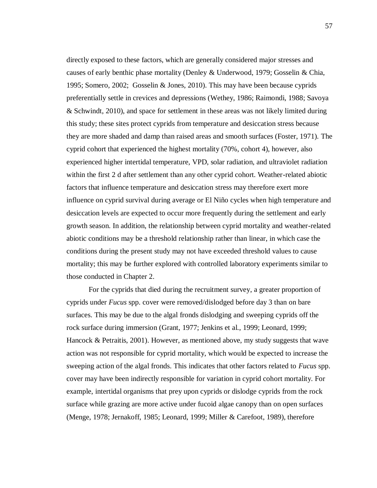directly exposed to these factors, which are generally considered major stresses and causes of early benthic phase mortality (Denley & Underwood, 1979; Gosselin & Chia, 1995; Somero, 2002; Gosselin & Jones, 2010). This may have been because cyprids preferentially settle in crevices and depressions (Wethey, 1986; Raimondi, 1988; Savoya & Schwindt, 2010), and space for settlement in these areas was not likely limited during this study; these sites protect cyprids from temperature and desiccation stress because they are more shaded and damp than raised areas and smooth surfaces (Foster, 1971). The cyprid cohort that experienced the highest mortality (70%, cohort 4), however, also experienced higher intertidal temperature, VPD, solar radiation, and ultraviolet radiation within the first 2 d after settlement than any other cyprid cohort. Weather-related abiotic factors that influence temperature and desiccation stress may therefore exert more influence on cyprid survival during average or El Niño cycles when high temperature and desiccation levels are expected to occur more frequently during the settlement and early growth season. In addition, the relationship between cyprid mortality and weather-related abiotic conditions may be a threshold relationship rather than linear, in which case the conditions during the present study may not have exceeded threshold values to cause mortality; this may be further explored with controlled laboratory experiments similar to those conducted in Chapter 2.

For the cyprids that died during the recruitment survey, a greater proportion of cyprids under *Fucus* spp. cover were removed/dislodged before day 3 than on bare surfaces. This may be due to the algal fronds dislodging and sweeping cyprids off the rock surface during immersion (Grant, 1977; Jenkins et al., 1999; Leonard, 1999; Hancock & Petraitis, 2001). However, as mentioned above, my study suggests that wave action was not responsible for cyprid mortality, which would be expected to increase the sweeping action of the algal fronds. This indicates that other factors related to *Fucus* spp. cover may have been indirectly responsible for variation in cyprid cohort mortality. For example, intertidal organisms that prey upon cyprids or dislodge cyprids from the rock surface while grazing are more active under fucoid algae canopy than on open surfaces (Menge, 1978; Jernakoff, 1985; Leonard, 1999; Miller & Carefoot, 1989), therefore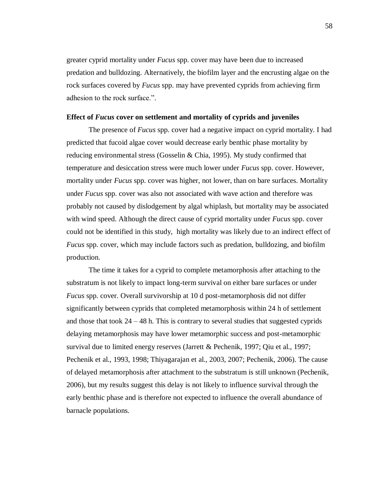greater cyprid mortality under *Fucus* spp. cover may have been due to increased predation and bulldozing. Alternatively, the biofilm layer and the encrusting algae on the rock surfaces covered by *Fucus* spp. may have prevented cyprids from achieving firm adhesion to the rock surface.".

#### **Effect of** *Fucus* **cover on settlement and mortality of cyprids and juveniles**

The presence of *Fucus* spp. cover had a negative impact on cyprid mortality. I had predicted that fucoid algae cover would decrease early benthic phase mortality by reducing environmental stress (Gosselin & Chia, 1995). My study confirmed that temperature and desiccation stress were much lower under *Fucus* spp. cover. However, mortality under *Fucus* spp. cover was higher, not lower, than on bare surfaces. Mortality under *Fucus* spp. cover was also not associated with wave action and therefore was probably not caused by dislodgement by algal whiplash, but mortality may be associated with wind speed. Although the direct cause of cyprid mortality under *Fucus* spp. cover could not be identified in this study, high mortality was likely due to an indirect effect of *Fucus* spp. cover, which may include factors such as predation, bulldozing, and biofilm production.

The time it takes for a cyprid to complete metamorphosis after attaching to the substratum is not likely to impact long-term survival on either bare surfaces or under *Fucus* spp. cover. Overall survivorship at 10 d post-metamorphosis did not differ significantly between cyprids that completed metamorphosis within 24 h of settlement and those that took  $24 - 48$  h. This is contrary to several studies that suggested cyprids delaying metamorphosis may have lower metamorphic success and post-metamorphic survival due to limited energy reserves (Jarrett & Pechenik, 1997; Qiu et al., 1997; Pechenik et al., 1993, 1998; Thiyagarajan et al., 2003, 2007; Pechenik, 2006). The cause of delayed metamorphosis after attachment to the substratum is still unknown (Pechenik, 2006), but my results suggest this delay is not likely to influence survival through the early benthic phase and is therefore not expected to influence the overall abundance of barnacle populations.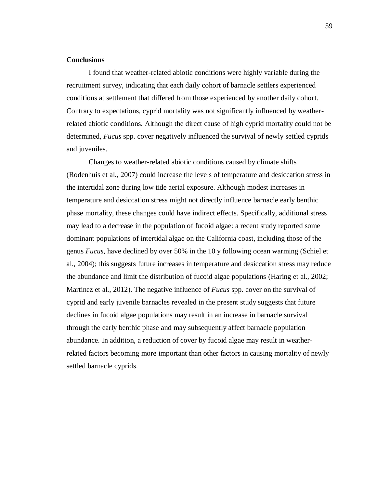# **Conclusions**

I found that weather-related abiotic conditions were highly variable during the recruitment survey, indicating that each daily cohort of barnacle settlers experienced conditions at settlement that differed from those experienced by another daily cohort. Contrary to expectations, cyprid mortality was not significantly influenced by weatherrelated abiotic conditions. Although the direct cause of high cyprid mortality could not be determined, *Fucus* spp. cover negatively influenced the survival of newly settled cyprids and juveniles.

Changes to weather-related abiotic conditions caused by climate shifts (Rodenhuis et al., 2007) could increase the levels of temperature and desiccation stress in the intertidal zone during low tide aerial exposure. Although modest increases in temperature and desiccation stress might not directly influence barnacle early benthic phase mortality, these changes could have indirect effects. Specifically, additional stress may lead to a decrease in the population of fucoid algae: a recent study reported some dominant populations of intertidal algae on the California coast, including those of the genus *Fucus,* have declined by over 50% in the 10 y following ocean warming (Schiel et al., 2004); this suggests future increases in temperature and desiccation stress may reduce the abundance and limit the distribution of fucoid algae populations (Haring et al., 2002; Martinez et al., 2012). The negative influence of *Fucus* spp. cover on the survival of cyprid and early juvenile barnacles revealed in the present study suggests that future declines in fucoid algae populations may result in an increase in barnacle survival through the early benthic phase and may subsequently affect barnacle population abundance. In addition, a reduction of cover by fucoid algae may result in weatherrelated factors becoming more important than other factors in causing mortality of newly settled barnacle cyprids.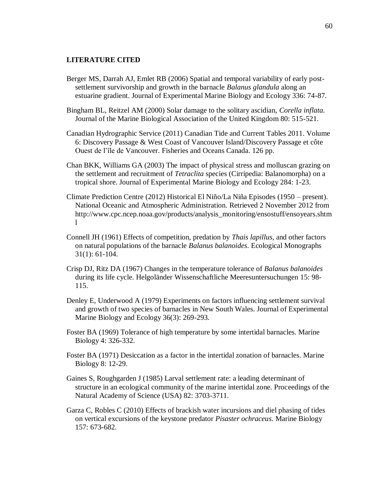## **LITERATURE CITED**

- Berger MS, Darrah AJ, Emlet RB (2006) Spatial and temporal variability of early postsettlement survivorship and growth in the barnacle *Balanus glandula* along an estuarine gradient. Journal of Experimental Marine Biology and Ecology 336: 74-87.
- Bingham BL, Reitzel AM (2000) Solar damage to the solitary ascidian, *Corella inflata*. Journal of the Marine Biological Association of the United Kingdom 80: 515-521.
- Canadian Hydrographic Service (2011) Canadian Tide and Current Tables 2011. Volume 6: Discovery Passage & West Coast of Vancouver Island/Discovery Passage et côte Ouest de l'île de Vancouver. Fisheries and Oceans Canada. 126 pp.
- Chan BKK, Williams GA (2003) The impact of physical stress and molluscan grazing on the settlement and recruitment of *Tetraclita* species (Cirripedia: Balanomorpha) on a tropical shore. Journal of Experimental Marine Biology and Ecology 284: 1-23.
- Climate Prediction Centre (2012) Historical El Niño/La Niña Episodes (1950 present). National Oceanic and Atmospheric Administration. Retrieved 2 November 2012 from http://www.cpc.ncep.noaa.gov/products/analysis\_monitoring/ensostuff/ensoyears.shtm l
- Connell JH (1961) Effects of competition, predation by *Thais lapillus*, and other factors on natural populations of the barnacle *Balanus balanoides*. Ecological Monographs 31(1): 61-104.
- Crisp DJ, Ritz DA (1967) Changes in the temperature tolerance of *Balanus balanoides* during its life cycle. Helgoländer Wissenschaftliche Meeresuntersuchungen 15: 98- 115.
- Denley E, Underwood A (1979) Experiments on factors influencing settlement survival and growth of two species of barnacles in New South Wales. Journal of Experimental Marine Biology and Ecology 36(3): 269-293.
- Foster BA (1969) Tolerance of high temperature by some intertidal barnacles. Marine Biology 4: 326-332.
- Foster BA (1971) Desiccation as a factor in the intertidal zonation of barnacles. Marine Biology 8: 12-29.
- Gaines S, Roughgarden J (1985) Larval settlement rate: a leading determinant of structure in an ecological community of the marine intertidal zone. Proceedings of the Natural Academy of Science (USA) 82: 3703-3711.
- Garza C, Robles C (2010) Effects of brackish water incursions and diel phasing of tides on vertical excursions of the keystone predator *Pisaster ochraceus*. Marine Biology 157: 673-682.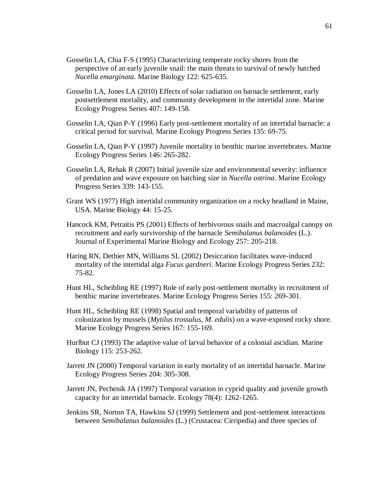- Gosselin LA, Chia F-S (1995) Characterizing temperate rocky shores from the perspective of an early juvenile snail: the main threats to survival of newly hatched *Nucella emarginata*. Marine Biology 122: 625-635.
- Gosselin LA, Jones LA (2010) Effects of solar radiation on barnacle settlement, early postsettlement mortality, and community development in the intertidal zone. Marine Ecology Progress Series 407: 149-158.
- Gosselin LA, Qian P-Y (1996) Early post-settlement mortality of an intertidal barnacle: a critical period for survival. Marine Ecology Progress Series 135: 69-75.
- Gosselin LA, Qian P-Y (1997) Juvenile mortality in benthic marine invertebrates. Marine Ecology Progress Series 146: 265-282.
- Gosselin LA, Rehak R (2007) Initial juvenile size and environmental severity: influence of predation and wave exposure on hatching size in *Nucella ostrina*. Marine Ecology Progress Series 339: 143-155.
- Grant WS (1977) High intertidal community organization on a rocky headland in Maine, USA. Marine Biology 44: 15-25.
- Hancock KM, Petraitis PS (2001) Effects of herbivorous snails and macroalgal canopy on recruitment and early survivorship of the barnacle *Semibalanus balanoides* (L.). Journal of Experimental Marine Biology and Ecology 257: 205-218.
- Haring RN, Dethier MN, Williams SL (2002) Desiccation facilitates wave-induced mortality of the intertidal alga *Fucus gardneri*. Marine Ecology Progress Series 232: 75-82.
- Hunt HL, Scheibling RE (1997) Role of early post-settlement mortality in recruitment of benthic marine invertebrates. Marine Ecology Progress Series 155: 269-301.
- Hunt HL, Scheibling RE (1998) Spatial and temporal variability of patterns of colonization by mussels (*Mytilus trossulus, M. edulis*) on a wave-exposed rocky shore. Marine Ecology Progress Series 167: 155-169.
- Hurlbut CJ (1993) The adaptive value of larval behavior of a colonial ascidian. Marine Biology 115: 253-262.
- Jarrett JN (2000) Temporal variation in early mortality of an intertidal barnacle. Marine Ecology Progress Series 204: 305-308.
- Jarrett JN, Pechenik JA (1997) Temporal variation in cyprid quality and juvenile growth capacity for an intertidal barnacle. Ecology 78(4): 1262-1265.
- Jenkins SR, Norton TA, Hawkins SJ (1999) Settlement and post-settlement interactions between *Semibalanus balanoides* (L.) (Crustacea: Cirripedia) and three species of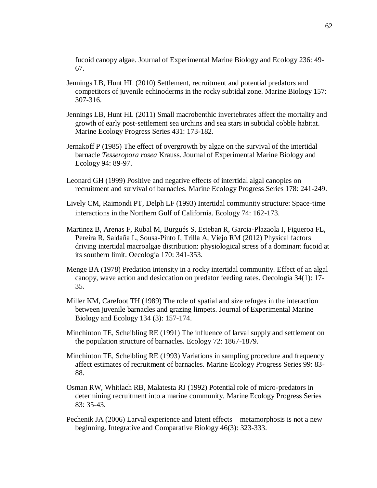fucoid canopy algae. Journal of Experimental Marine Biology and Ecology 236: 49- 67.

- Jennings LB, Hunt HL (2010) Settlement, recruitment and potential predators and competitors of juvenile echinoderms in the rocky subtidal zone. Marine Biology 157: 307-316.
- Jennings LB, Hunt HL (2011) Small macrobenthic invertebrates affect the mortality and growth of early post-settlement sea urchins and sea stars in subtidal cobble habitat. Marine Ecology Progress Series 431: 173-182.
- Jernakoff P (1985) The effect of overgrowth by algae on the survival of the intertidal barnacle *Tesseropora rosea* Krauss. Journal of Experimental Marine Biology and Ecology 94: 89-97.
- Leonard GH (1999) Positive and negative effects of intertidal algal canopies on recruitment and survival of barnacles. Marine Ecology Progress Series 178: 241-249.
- Lively CM, Raimondi PT, Delph LF (1993) Intertidal community structure: Space-time interactions in the Northern Gulf of California. Ecology 74: 162-173.
- Martinez B, Arenas F, Rubal M, Burgués S, Esteban R, Garcia-Plazaola I, Figueroa FL, Pereira R, Saldaña L, Sousa-Pinto I, Trilla A, Viejo RM (2012) Physical factors driving intertidal macroalgae distribution: physiological stress of a dominant fucoid at its southern limit. Oecologia 170: 341-353.
- Menge BA (1978) Predation intensity in a rocky intertidal community. Effect of an algal canopy, wave action and desiccation on predator feeding rates. Oecologia 34(1): 17- 35.
- Miller KM, Carefoot TH (1989) The role of spatial and size refuges in the interaction between juvenile barnacles and grazing limpets. Journal of Experimental Marine Biology and Ecology 134 (3): 157-174.
- Minchinton TE, Scheibling RE (1991) The influence of larval supply and settlement on the population structure of barnacles. Ecology 72: 1867-1879.
- Minchinton TE, Scheibling RE (1993) Variations in sampling procedure and frequency affect estimates of recruitment of barnacles. Marine Ecology Progress Series 99: 83- 88.
- Osman RW, Whitlach RB, Malatesta RJ (1992) Potential role of micro-predators in determining recruitment into a marine community. Marine Ecology Progress Series 83: 35-43.
- Pechenik JA (2006) Larval experience and latent effects metamorphosis is not a new beginning. Integrative and Comparative Biology 46(3): 323-333.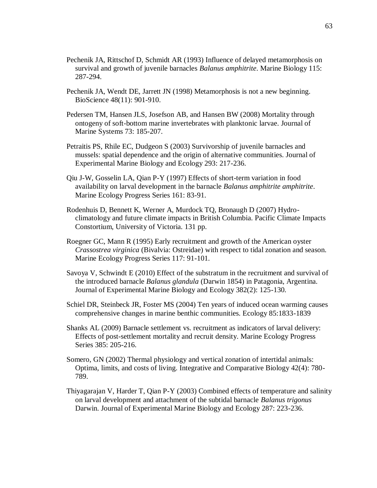- Pechenik JA, Rittschof D, Schmidt AR (1993) Influence of delayed metamorphosis on survival and growth of juvenile barnacles *Balanus amphitrite*. Marine Biology 115: 287-294.
- Pechenik JA, Wendt DE, Jarrett JN (1998) Metamorphosis is not a new beginning. BioScience 48(11): 901-910.
- Pedersen TM, Hansen JLS, Josefson AB, and Hansen BW (2008) Mortality through ontogeny of soft-bottom marine invertebrates with planktonic larvae. Journal of Marine Systems 73: 185-207.
- Petraitis PS, Rhile EC, Dudgeon S (2003) Survivorship of juvenile barnacles and mussels: spatial dependence and the origin of alternative communities. Journal of Experimental Marine Biology and Ecology 293: 217-236.
- Qiu J-W, Gosselin LA, Qian P-Y (1997) Effects of short-term variation in food availability on larval development in the barnacle *Balanus amphitrite amphitrite*. Marine Ecology Progress Series 161: 83-91.
- Rodenhuis D, Bennett K, Werner A, Murdock TQ, Bronaugh D (2007) Hydroclimatology and future climate impacts in British Columbia. Pacific Climate Impacts Constortium, University of Victoria. 131 pp.
- Roegner GC, Mann R (1995) Early recruitment and growth of the American oyster *Crassostrea virginica* (Bivalvia: Ostreidae) with respect to tidal zonation and season. Marine Ecology Progress Series 117: 91-101.
- Savoya V, Schwindt E (2010) Effect of the substratum in the recruitment and survival of the introduced barnacle *Balanus glandula* (Darwin 1854) in Patagonia, Argentina. Journal of Experimental Marine Biology and Ecology 382(2): 125-130.
- Schiel DR, Steinbeck JR, Foster MS (2004) Ten years of induced ocean warming causes comprehensive changes in marine benthic communities. Ecology 85:1833-1839
- Shanks AL (2009) Barnacle settlement vs. recruitment as indicators of larval delivery: Effects of post-settlement mortality and recruit density. Marine Ecology Progress Series 385: 205-216.
- Somero, GN (2002) Thermal physiology and vertical zonation of intertidal animals: Optima, limits, and costs of living. Integrative and Comparative Biology 42(4): 780- 789.
- Thiyagarajan V, Harder T, Qian P-Y (2003) Combined effects of temperature and salinity on larval development and attachment of the subtidal barnacle *Balanus trigonus* Darwin. Journal of Experimental Marine Biology and Ecology 287: 223-236.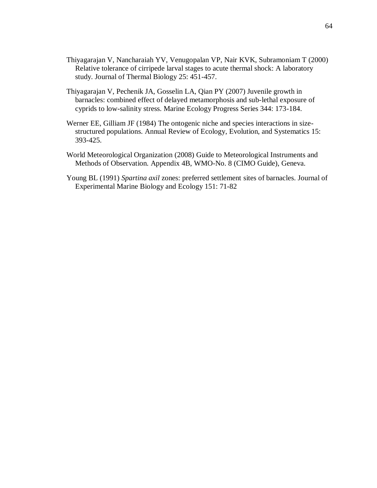- Thiyagarajan V, Nancharaiah YV, Venugopalan VP, Nair KVK, Subramoniam T (2000) Relative tolerance of cirripede larval stages to acute thermal shock: A laboratory study. Journal of Thermal Biology 25: 451-457.
- Thiyagarajan V, Pechenik JA, Gosselin LA, Qian PY (2007) Juvenile growth in barnacles: combined effect of delayed metamorphosis and sub-lethal exposure of cyprids to low-salinity stress. Marine Ecology Progress Series 344: 173-184.
- Werner EE, Gilliam JF (1984) The ontogenic niche and species interactions in sizestructured populations. Annual Review of Ecology, Evolution, and Systematics 15: 393-425.
- World Meteorological Organization (2008) Guide to Meteorological Instruments and Methods of Observation. Appendix 4B, WMO-No. 8 (CIMO Guide), Geneva.
- Young BL (1991) *Spartina axil* zones: preferred settlement sites of barnacles. Journal of Experimental Marine Biology and Ecology 151: 71-82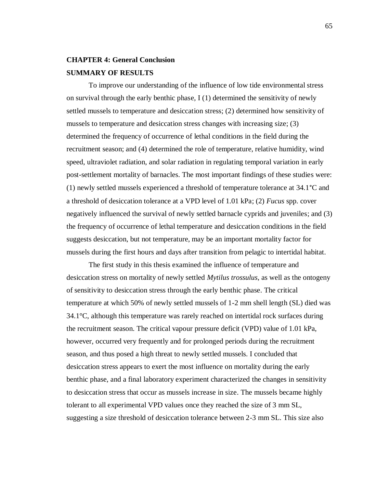# **CHAPTER 4: General Conclusion SUMMARY OF RESULTS**

To improve our understanding of the influence of low tide environmental stress on survival through the early benthic phase, I (1) determined the sensitivity of newly settled mussels to temperature and desiccation stress; (2) determined how sensitivity of mussels to temperature and desiccation stress changes with increasing size; (3) determined the frequency of occurrence of lethal conditions in the field during the recruitment season; and (4) determined the role of temperature, relative humidity, wind speed, ultraviolet radiation, and solar radiation in regulating temporal variation in early post-settlement mortality of barnacles. The most important findings of these studies were: (1) newly settled mussels experienced a threshold of temperature tolerance at 34.1°C and a threshold of desiccation tolerance at a VPD level of 1.01 kPa; (2) *Fucus* spp. cover negatively influenced the survival of newly settled barnacle cyprids and juveniles; and (3) the frequency of occurrence of lethal temperature and desiccation conditions in the field suggests desiccation, but not temperature, may be an important mortality factor for mussels during the first hours and days after transition from pelagic to intertidal habitat.

The first study in this thesis examined the influence of temperature and desiccation stress on mortality of newly settled *Mytilus trossulus*, as well as the ontogeny of sensitivity to desiccation stress through the early benthic phase. The critical temperature at which 50% of newly settled mussels of 1-2 mm shell length (SL) died was  $34.1^{\circ}$ C, although this temperature was rarely reached on intertidal rock surfaces during the recruitment season. The critical vapour pressure deficit (VPD) value of 1.01 kPa, however, occurred very frequently and for prolonged periods during the recruitment season, and thus posed a high threat to newly settled mussels. I concluded that desiccation stress appears to exert the most influence on mortality during the early benthic phase, and a final laboratory experiment characterized the changes in sensitivity to desiccation stress that occur as mussels increase in size. The mussels became highly tolerant to all experimental VPD values once they reached the size of 3 mm SL, suggesting a size threshold of desiccation tolerance between 2-3 mm SL. This size also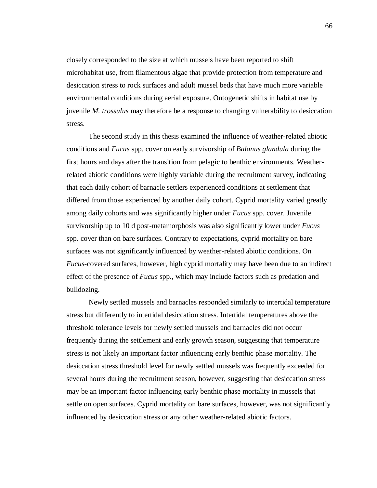closely corresponded to the size at which mussels have been reported to shift microhabitat use, from filamentous algae that provide protection from temperature and desiccation stress to rock surfaces and adult mussel beds that have much more variable environmental conditions during aerial exposure. Ontogenetic shifts in habitat use by juvenile *M. trossulus* may therefore be a response to changing vulnerability to desiccation stress.

The second study in this thesis examined the influence of weather-related abiotic conditions and *Fucus* spp. cover on early survivorship of *Balanus glandula* during the first hours and days after the transition from pelagic to benthic environments. Weatherrelated abiotic conditions were highly variable during the recruitment survey, indicating that each daily cohort of barnacle settlers experienced conditions at settlement that differed from those experienced by another daily cohort. Cyprid mortality varied greatly among daily cohorts and was significantly higher under *Fucus* spp. cover. Juvenile survivorship up to 10 d post-metamorphosis was also significantly lower under *Fucus* spp. cover than on bare surfaces. Contrary to expectations, cyprid mortality on bare surfaces was not significantly influenced by weather-related abiotic conditions. On *Fucus*-covered surfaces, however, high cyprid mortality may have been due to an indirect effect of the presence of *Fucus* spp., which may include factors such as predation and bulldozing.

Newly settled mussels and barnacles responded similarly to intertidal temperature stress but differently to intertidal desiccation stress. Intertidal temperatures above the threshold tolerance levels for newly settled mussels and barnacles did not occur frequently during the settlement and early growth season, suggesting that temperature stress is not likely an important factor influencing early benthic phase mortality. The desiccation stress threshold level for newly settled mussels was frequently exceeded for several hours during the recruitment season, however, suggesting that desiccation stress may be an important factor influencing early benthic phase mortality in mussels that settle on open surfaces. Cyprid mortality on bare surfaces, however, was not significantly influenced by desiccation stress or any other weather-related abiotic factors.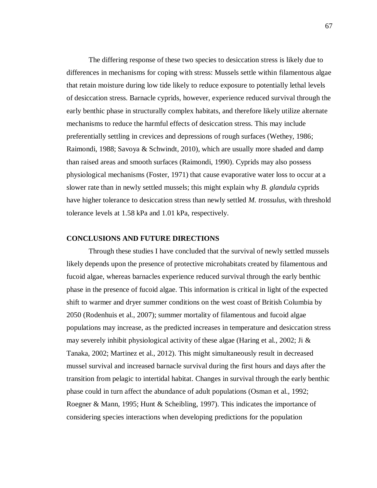The differing response of these two species to desiccation stress is likely due to differences in mechanisms for coping with stress: Mussels settle within filamentous algae that retain moisture during low tide likely to reduce exposure to potentially lethal levels of desiccation stress. Barnacle cyprids, however, experience reduced survival through the early benthic phase in structurally complex habitats, and therefore likely utilize alternate mechanisms to reduce the harmful effects of desiccation stress. This may include preferentially settling in crevices and depressions of rough surfaces (Wethey, 1986; Raimondi, 1988; Savoya & Schwindt, 2010), which are usually more shaded and damp than raised areas and smooth surfaces (Raimondi, 1990). Cyprids may also possess physiological mechanisms (Foster, 1971) that cause evaporative water loss to occur at a slower rate than in newly settled mussels; this might explain why *B. glandula* cyprids have higher tolerance to desiccation stress than newly settled *M. trossulus*, with threshold tolerance levels at 1.58 kPa and 1.01 kPa, respectively.

#### **CONCLUSIONS AND FUTURE DIRECTIONS**

Through these studies I have concluded that the survival of newly settled mussels likely depends upon the presence of protective microhabitats created by filamentous and fucoid algae, whereas barnacles experience reduced survival through the early benthic phase in the presence of fucoid algae. This information is critical in light of the expected shift to warmer and dryer summer conditions on the west coast of British Columbia by 2050 (Rodenhuis et al., 2007); summer mortality of filamentous and fucoid algae populations may increase, as the predicted increases in temperature and desiccation stress may severely inhibit physiological activity of these algae (Haring et al., 2002; Ji & Tanaka, 2002; Martinez et al., 2012). This might simultaneously result in decreased mussel survival and increased barnacle survival during the first hours and days after the transition from pelagic to intertidal habitat. Changes in survival through the early benthic phase could in turn affect the abundance of adult populations (Osman et al., 1992; Roegner & Mann, 1995; Hunt & Scheibling, 1997). This indicates the importance of considering species interactions when developing predictions for the population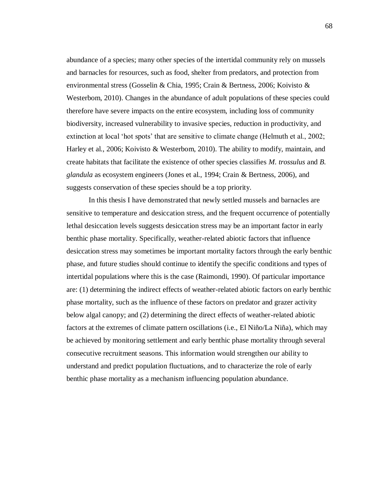abundance of a species; many other species of the intertidal community rely on mussels and barnacles for resources, such as food, shelter from predators, and protection from environmental stress (Gosselin & Chia, 1995; Crain & Bertness, 2006; Koivisto & Westerbom, 2010). Changes in the abundance of adult populations of these species could therefore have severe impacts on the entire ecosystem, including loss of community biodiversity, increased vulnerability to invasive species, reduction in productivity, and extinction at local 'hot spots' that are sensitive to climate change (Helmuth et al., 2002; Harley et al., 2006; Koivisto & Westerbom, 2010). The ability to modify, maintain, and create habitats that facilitate the existence of other species classifies *M. trossulus* and *B. glandula* as ecosystem engineers (Jones et al., 1994; Crain & Bertness, 2006), and suggests conservation of these species should be a top priority.

In this thesis I have demonstrated that newly settled mussels and barnacles are sensitive to temperature and desiccation stress, and the frequent occurrence of potentially lethal desiccation levels suggests desiccation stress may be an important factor in early benthic phase mortality. Specifically, weather-related abiotic factors that influence desiccation stress may sometimes be important mortality factors through the early benthic phase, and future studies should continue to identify the specific conditions and types of intertidal populations where this is the case (Raimondi, 1990). Of particular importance are: (1) determining the indirect effects of weather-related abiotic factors on early benthic phase mortality, such as the influence of these factors on predator and grazer activity below algal canopy; and (2) determining the direct effects of weather-related abiotic factors at the extremes of climate pattern oscillations (i.e., El Niño/La Niña), which may be achieved by monitoring settlement and early benthic phase mortality through several consecutive recruitment seasons. This information would strengthen our ability to understand and predict population fluctuations, and to characterize the role of early benthic phase mortality as a mechanism influencing population abundance.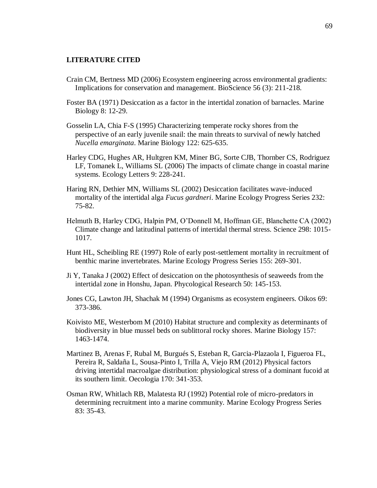#### **LITERATURE CITED**

- Crain CM, Bertness MD (2006) Ecosystem engineering across environmental gradients: Implications for conservation and management. BioScience 56 (3): 211-218.
- Foster BA (1971) Desiccation as a factor in the intertidal zonation of barnacles. Marine Biology 8: 12-29.
- Gosselin LA, Chia F-S (1995) Characterizing temperate rocky shores from the perspective of an early juvenile snail: the main threats to survival of newly hatched *Nucella emarginata*. Marine Biology 122: 625-635.
- Harley CDG, Hughes AR, Hultgren KM, Miner BG, Sorte CJB, Thornber CS, Rodriguez LF, Tomanek L, Williams SL (2006) The impacts of climate change in coastal marine systems. Ecology Letters 9: 228-241.
- Haring RN, Dethier MN, Williams SL (2002) Desiccation facilitates wave-induced mortality of the intertidal alga *Fucus gardneri*. Marine Ecology Progress Series 232: 75-82.
- Helmuth B, Harley CDG, Halpin PM, O'Donnell M, Hoffman GE, Blanchette CA (2002) Climate change and latitudinal patterns of intertidal thermal stress. Science 298: 1015- 1017.
- Hunt HL, Scheibling RE (1997) Role of early post-settlement mortality in recruitment of benthic marine invertebrates. Marine Ecology Progress Series 155: 269-301.
- Ji Y, Tanaka J (2002) Effect of desiccation on the photosynthesis of seaweeds from the intertidal zone in Honshu, Japan. Phycological Research 50: 145-153.
- Jones CG, Lawton JH, Shachak M (1994) Organisms as ecosystem engineers. Oikos 69: 373-386.
- Koivisto ME, Westerbom M (2010) Habitat structure and complexity as determinants of biodiversity in blue mussel beds on sublittoral rocky shores. Marine Biology 157: 1463-1474.
- Martinez B, Arenas F, Rubal M, Burgués S, Esteban R, Garcia-Plazaola I, Figueroa FL, Pereira R, Saldaña L, Sousa-Pinto I, Trilla A, Viejo RM (2012) Physical factors driving intertidal macroalgae distribution: physiological stress of a dominant fucoid at its southern limit. Oecologia 170: 341-353.
- Osman RW, Whitlach RB, Malatesta RJ (1992) Potential role of micro-predators in determining recruitment into a marine community. Marine Ecology Progress Series 83: 35-43.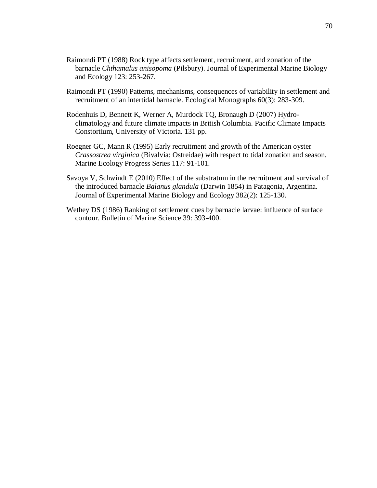- Raimondi PT (1988) Rock type affects settlement, recruitment, and zonation of the barnacle *Chthamalus anisopoma* (Pilsbury). Journal of Experimental Marine Biology and Ecology 123: 253-267.
- Raimondi PT (1990) Patterns, mechanisms, consequences of variability in settlement and recruitment of an intertidal barnacle. Ecological Monographs 60(3): 283-309.
- Rodenhuis D, Bennett K, Werner A, Murdock TQ, Bronaugh D (2007) Hydroclimatology and future climate impacts in British Columbia. Pacific Climate Impacts Constortium, University of Victoria. 131 pp.
- Roegner GC, Mann R (1995) Early recruitment and growth of the American oyster *Crassostrea virginica* (Bivalvia: Ostreidae) with respect to tidal zonation and season. Marine Ecology Progress Series 117: 91-101.
- Savoya V, Schwindt E (2010) Effect of the substratum in the recruitment and survival of the introduced barnacle *Balanus glandula* (Darwin 1854) in Patagonia, Argentina. Journal of Experimental Marine Biology and Ecology 382(2): 125-130.
- Wethey DS (1986) Ranking of settlement cues by barnacle larvae: influence of surface contour. Bulletin of Marine Science 39: 393-400.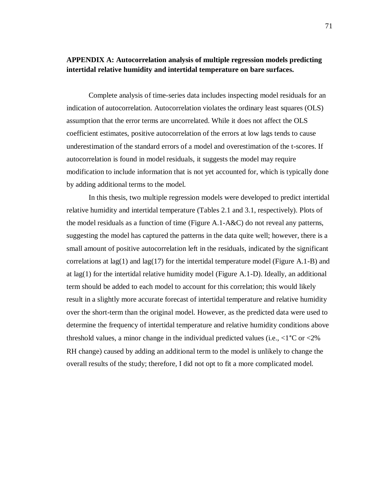### **APPENDIX A: Autocorrelation analysis of multiple regression models predicting intertidal relative humidity and intertidal temperature on bare surfaces.**

Complete analysis of time-series data includes inspecting model residuals for an indication of autocorrelation. Autocorrelation violates the ordinary least squares (OLS) assumption that the error terms are uncorrelated. While it does not affect the OLS coefficient estimates, positive autocorrelation of the errors at low lags tends to cause underestimation of the standard errors of a model and overestimation of the t-scores. If autocorrelation is found in model residuals, it suggests the model may require modification to include information that is not yet accounted for, which is typically done by adding additional terms to the model.

In this thesis, two multiple regression models were developed to predict intertidal relative humidity and intertidal temperature (Tables 2.1 and 3.1, respectively). Plots of the model residuals as a function of time (Figure A.1- $A&C$ ) do not reveal any patterns, suggesting the model has captured the patterns in the data quite well; however, there is a small amount of positive autocorrelation left in the residuals, indicated by the significant correlations at lag(1) and lag(17) for the intertidal temperature model (Figure A.1-B) and at lag(1) for the intertidal relative humidity model (Figure A.1-D). Ideally, an additional term should be added to each model to account for this correlation; this would likely result in a slightly more accurate forecast of intertidal temperature and relative humidity over the short-term than the original model. However, as the predicted data were used to determine the frequency of intertidal temperature and relative humidity conditions above threshold values, a minor change in the individual predicted values (i.e.,  $\lt 1^{\circ}$ C or  $\lt 2\%$ RH change) caused by adding an additional term to the model is unlikely to change the overall results of the study; therefore, I did not opt to fit a more complicated model.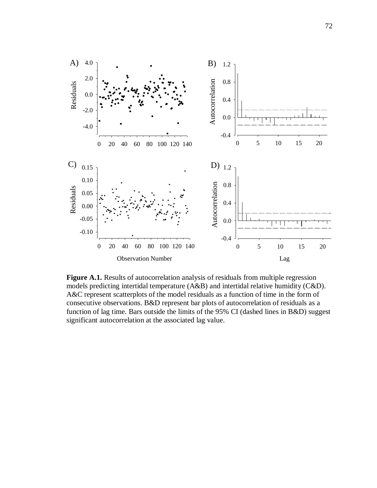

Figure A.1. Results of autocorrelation analysis of residuals from multiple regression models predicting intertidal temperature (A&B) and intertidal relative humidity (C&D). A&C represent scatterplots of the model residuals as a function of time in the form of consecutive observations. B&D represent bar plots of autocorrelation of residuals as a function of lag time. Bars outside the limits of the 95% CI (dashed lines in B&D) suggest significant autocorrelation at the associated lag value.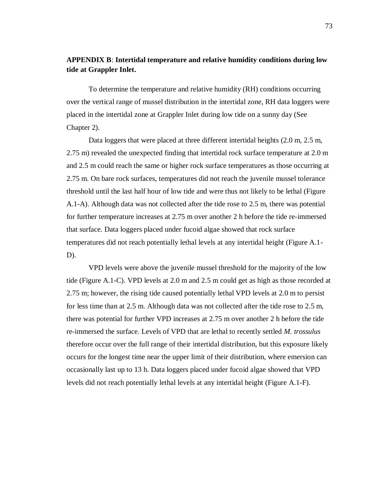## **APPENDIX B**: **Intertidal temperature and relative humidity conditions during low tide at Grappler Inlet.**

To determine the temperature and relative humidity (RH) conditions occurring over the vertical range of mussel distribution in the intertidal zone, RH data loggers were placed in the intertidal zone at Grappler Inlet during low tide on a sunny day (See Chapter 2).

Data loggers that were placed at three different intertidal heights (2.0 m, 2.5 m, 2.75 m) revealed the unexpected finding that intertidal rock surface temperature at 2.0 m and 2.5 m could reach the same or higher rock surface temperatures as those occurring at 2.75 m. On bare rock surfaces, temperatures did not reach the juvenile mussel tolerance threshold until the last half hour of low tide and were thus not likely to be lethal (Figure A.1-A). Although data was not collected after the tide rose to 2.5 m, there was potential for further temperature increases at 2.75 m over another 2 h before the tide re-immersed that surface. Data loggers placed under fucoid algae showed that rock surface temperatures did not reach potentially lethal levels at any intertidal height (Figure A.1-  $D$ ).

VPD levels were above the juvenile mussel threshold for the majority of the low tide (Figure A.1-C). VPD levels at 2.0 m and 2.5 m could get as high as those recorded at 2.75 m; however, the rising tide caused potentially lethal VPD levels at 2.0 m to persist for less time than at 2.5 m. Although data was not collected after the tide rose to 2.5 m, there was potential for further VPD increases at 2.75 m over another 2 h before the tide re-immersed the surface. Levels of VPD that are lethal to recently settled *M. trossulus* therefore occur over the full range of their intertidal distribution, but this exposure likely occurs for the longest time near the upper limit of their distribution, where emersion can occasionally last up to 13 h. Data loggers placed under fucoid algae showed that VPD levels did not reach potentially lethal levels at any intertidal height (Figure A.1-F).